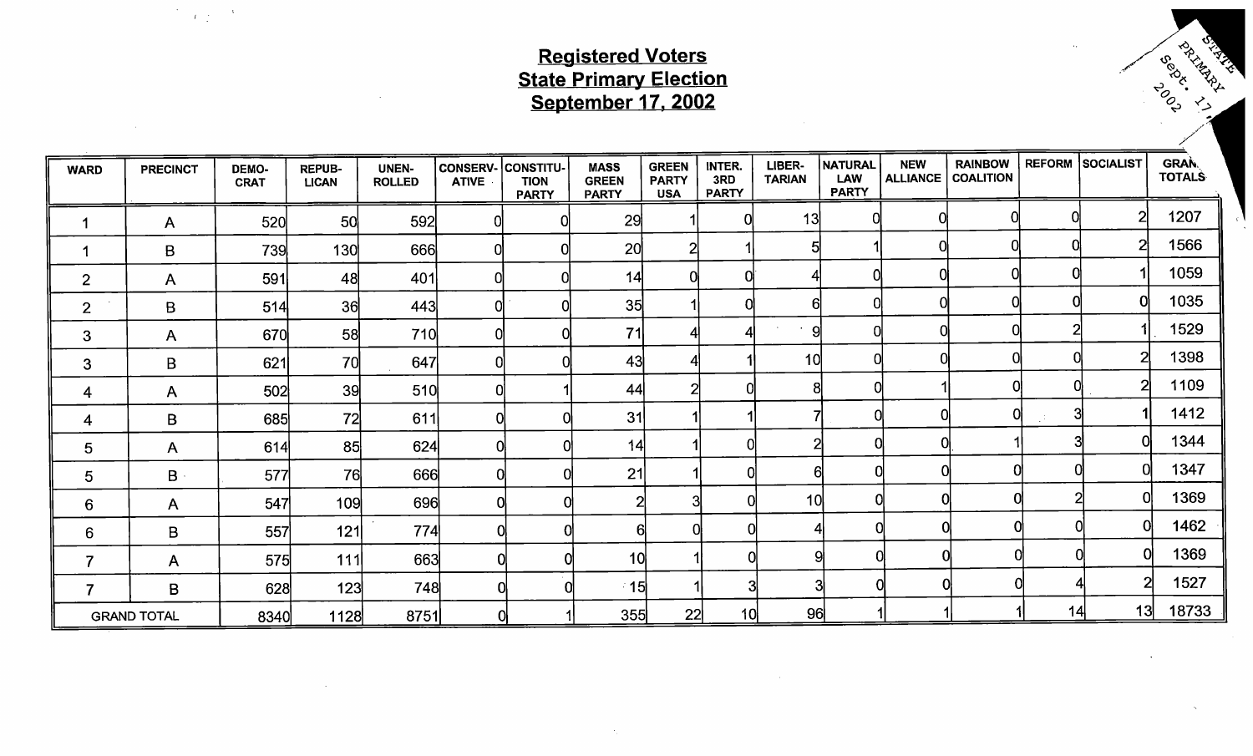# Registered Voters State Primary Election (مَا يَجْمَعُونَ الْمَالِيُّ بِمَا يَجْمَعُونَ الْمَالِيُّ بِمَا يَجْمَعُونَ الْمَالِيُ<br>September 17, 2002

**TANK** 

 $\frac{1}{\sqrt{2}}\left(\frac{1}{\sqrt{2}}\right)^{1/2}$  ,  $\frac{1}{\sqrt{2}}$ 

| <b>WARD</b>    | <b>PRECINCT</b>    | DEMO-<br><b>CRAT</b> | <b>REPUB-</b><br><b>LICAN</b> | <b>UNEN-</b><br><b>ROLLED</b> | <b>CONSERV- CONSTITU-</b><br><b>ATIVE</b> | <b>TION</b><br><b>PARTY</b> | <b>MASS</b><br><b>GREEN</b><br><b>PARTY</b> | <b>GREEN</b><br><b>PARTY</b><br><b>USA</b> | INTER.<br>3RD<br><b>PARTY</b> | LIBER-<br><b>TARIAN</b> | <b>NATURAL</b><br><b>LAW</b><br><b>PARTY</b> | <b>NEW</b><br><b>ALLIANCE</b> | <b>RAINBOW</b><br><b>COALITION</b> |                | <b>REFORM SOCIALIST</b> | <b>GRAN.</b><br><b>TOTALS</b> |
|----------------|--------------------|----------------------|-------------------------------|-------------------------------|-------------------------------------------|-----------------------------|---------------------------------------------|--------------------------------------------|-------------------------------|-------------------------|----------------------------------------------|-------------------------------|------------------------------------|----------------|-------------------------|-------------------------------|
|                | $\mathsf{A}$       | 520                  | 50 <sub>l</sub>               | 592                           |                                           |                             | 29                                          |                                            |                               | 13                      |                                              |                               |                                    |                | $\overline{2}$          | 1207                          |
|                | B                  | 739                  | 130                           | 666                           | ∩                                         |                             | 20 <sub>l</sub>                             |                                            |                               |                         |                                              |                               |                                    |                |                         | 1566                          |
| $\overline{2}$ | $\mathsf{A}$       | 591                  | 48                            | 401                           |                                           |                             | 14                                          |                                            |                               |                         |                                              |                               |                                    |                |                         | 1059                          |
| $\overline{2}$ | B                  | 514                  | 36                            | 443                           |                                           |                             | 35                                          |                                            |                               |                         |                                              |                               |                                    |                |                         | 1035                          |
| 3              | A                  | 670                  | 58                            | 710                           | 0                                         |                             | 71                                          |                                            |                               | -91                     |                                              |                               |                                    |                |                         | 1529                          |
| 3              | B                  | 621                  | 70                            | 647                           |                                           |                             | 43                                          |                                            |                               | 10                      |                                              |                               |                                    |                |                         | 1398                          |
| 4              | A                  | 502                  | 39                            | 510                           |                                           |                             | 44                                          |                                            |                               |                         |                                              |                               |                                    |                |                         | 1109                          |
| 4              | B                  | 685                  | 72                            | 611                           |                                           |                             | 31                                          |                                            |                               |                         |                                              |                               |                                    | 3              |                         | 1412                          |
| $\overline{5}$ | $\mathsf{A}$       | 614                  | 85                            | 624                           |                                           |                             | 14                                          |                                            |                               |                         |                                              |                               |                                    |                |                         | 1344                          |
| 5              | $\mathsf B$ .      | 577                  | 76                            | 666                           |                                           |                             | 21                                          |                                            |                               |                         | 6                                            |                               |                                    |                |                         | 1347                          |
| $6 \,$         | $\mathsf{A}$       | 547                  | 109                           | 696                           |                                           |                             |                                             |                                            |                               | <u>10</u>               |                                              |                               |                                    | $\overline{2}$ |                         | 1369                          |
| 6              | B                  | 557                  | 121                           | 774                           |                                           |                             |                                             |                                            |                               |                         |                                              |                               |                                    |                |                         | 1462                          |
| 7              | $\mathsf{A}$       | 575                  | 111                           | 663                           |                                           |                             | 1이                                          |                                            |                               |                         |                                              |                               |                                    |                |                         | 1369                          |
| 7              | B                  | 628                  | 123                           | 748                           |                                           |                             | ∸15                                         |                                            |                               |                         |                                              |                               |                                    |                | 2                       | 1527                          |
|                | <b>GRAND TOTAL</b> | 8340                 | 1128                          | 8751                          |                                           |                             | 355                                         | 22                                         | 10                            | 96                      |                                              |                               |                                    | 14             | 13                      | 18733                         |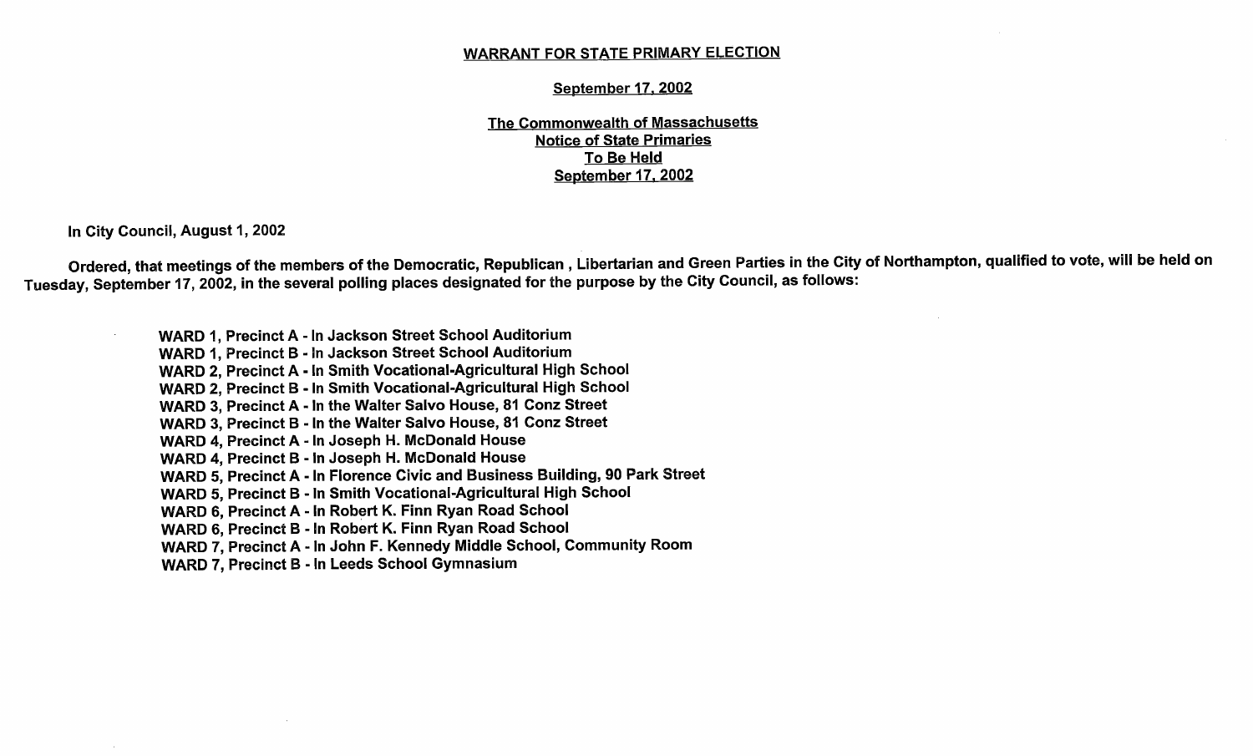#### WARRANT FOR STATE PRIMARY ELECTION

#### September 17, 2002

The Commonwealth of Massachusetts Notice of State Primaries To Be Held September 17, 2002

In City Council, August 1, 2002

Ordered, that meetings of the members of the Democratic, Republican , Libertarian and Green Parties in the City of Northampton, qualified to vote, will be held on Tuesday, September 17, 2002, in the several polling places designated for the purpose by the City Council, as follows:

> WARD 1, Precinct A - In Jackson Street School Auditorium WARD 1, Precinct B - In Jackson Street School Auditorium WARD 2, Precinct A - In Smith Vocational-Agricultural High School WARD 2, Precinct B - In Smith Vocational-Agricultural High School WARD 3, Precinct A - In the Walter Salvo House, 81 Conz Street WARD 3, Precinct B - In the Walter Salvo House, 81 Conz Street WARD 4, Precinct A - In Joseph H. McDonald House WARD 4, Precinct B - In Joseph H. McDonald House WARD 5, Precinct A - In Florence Civic and Business Building, 90 Park Street WARD 5, Precinct B - In Smith Vocational-Agricultural High School WARD 6, Precinct A - In Robert K. Finn Ryan Road School WARD 6, Precinct B - In Robert K. Finn Ryan Road School WARD 7, Precinct A - In John F. Kennedy Middle School, Community Room WARD 7, Precinct B - In Leeds School Gymnasium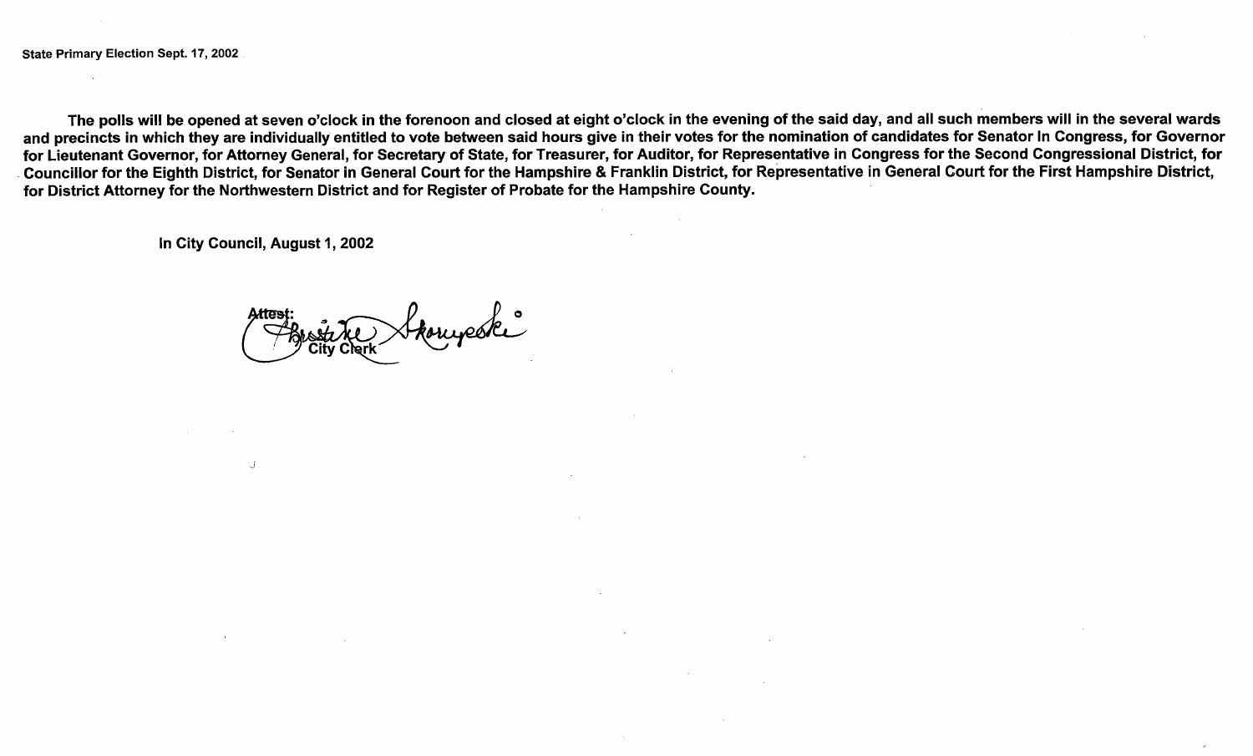State Primary Election Sept. 17, 2002

The polls will be opened at seven o'clock in the forenoon and closed at eight o' clock in the evening of the said day, and all such members will in the several wards and precincts in which they are individually entitled to vote between said hours give in their votes for the nomination of candidates for Senator In Congress, for Governor for Lieutenant Governor, for Attorney General, for Secretary of State, for Treasurer, for Auditor, for Representative in Congress for the Second Congressional District, for Councillor for the Eighth District, for Senator in General Court for the Hampshire & Franklin District, for Representative in General Court for the First Hampshire District, for District Attorney for the Northwestern District and for Register of Probate for the Hampshire County.

In City Council, August 1, 2002

J

0 City Cherk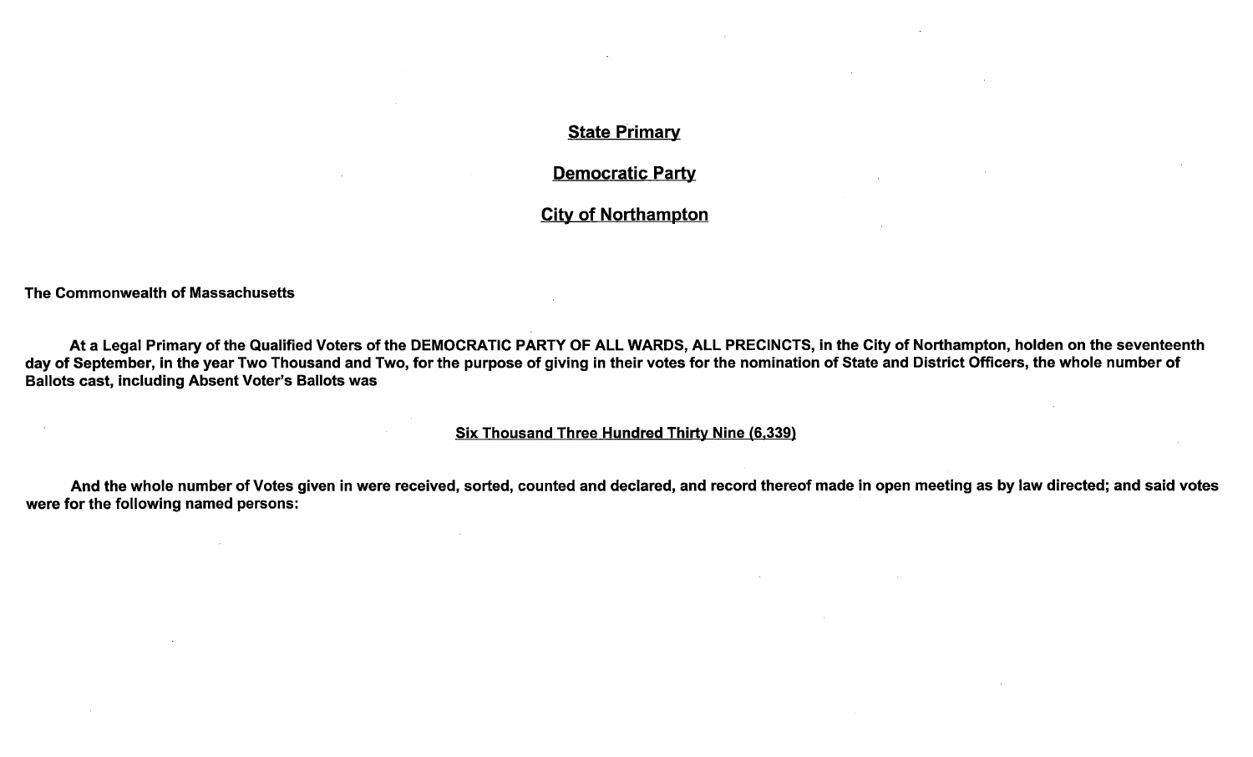### **State Primary**

Democratic Party

City of Northampton

#### The Commonwealth of Massachusetts

At a Legal Primary of the Qualified Voters of the DEMOCRATIC PARTY OF ALL WARDS, ALL PRECINCTS, in the City of Northampton, holden on the seventeenth day of September, in the year Two Thousand and Two, for the purpose of giving in their votes for the nomination of State and District Officers, the whole number of Ballots cast, including Absent Voter's Ballots was

#### **Six Thousand Three Hundred Thirty Nine (6,339)**

And the whole number of Votes given in were received, sorted, counted and declared, and record thereof made in open meeting as by law directed; and said votes were for the following named persons: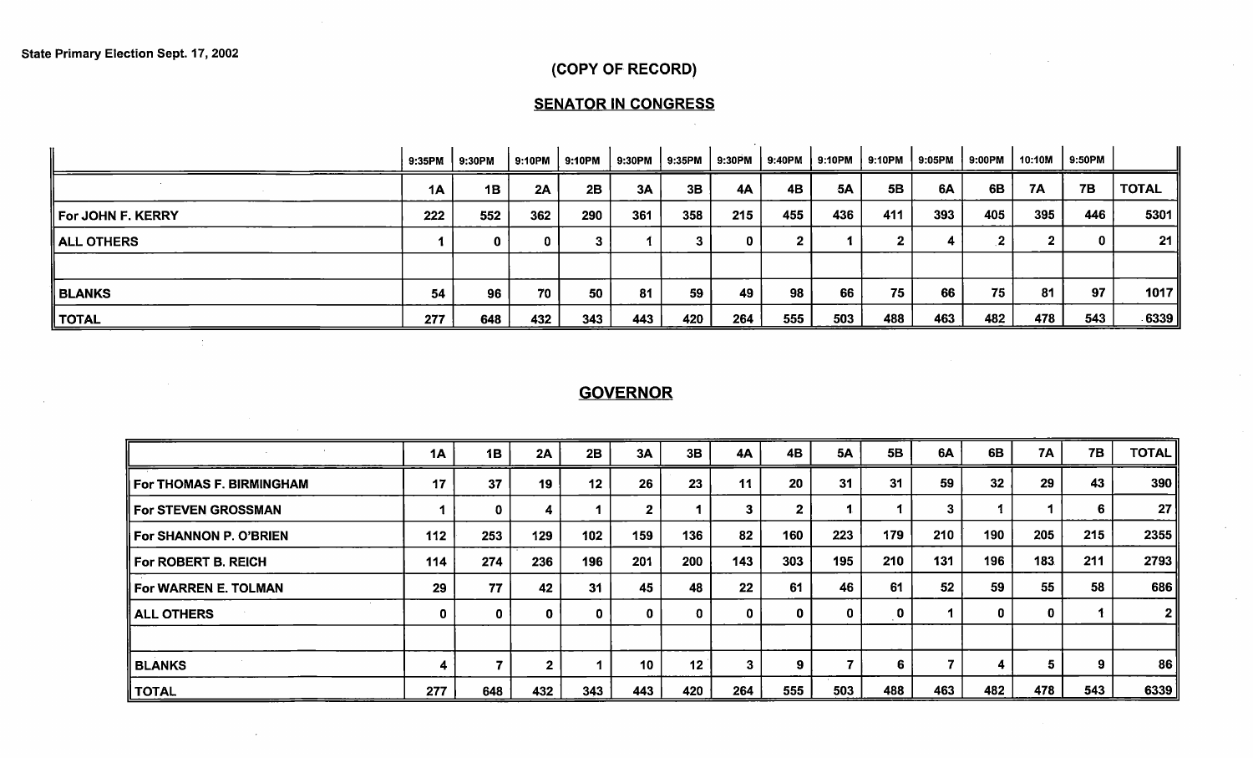$\sim$   $t$   $^{-1}$ 

# COPY OF RECORD)

# **SENATOR IN CONGRESS**

|                   | 9:35PM | 9:30PM | 9:10PM | 9:10PM | 9:30PM | l 9:35PM | 9:30PM | 9:40PM | 9:10PM    | 9:10PM | 9:05PM | 9:00PM | 10:10M | 9:50PM    |              |
|-------------------|--------|--------|--------|--------|--------|----------|--------|--------|-----------|--------|--------|--------|--------|-----------|--------------|
|                   | 1Α     | 1B     | 2A     | 2B     | 3A     | 3B       | 4A     | 4B     | <b>5A</b> | 5B     | 6A     | 6B     | 7A     | <b>7B</b> | <b>TOTAL</b> |
| For JOHN F. KERRY | 222    | 552    | 362    | 290    | 361    | 358      | 215    | 455    | 436       | 411    | 393    | 405    | 395    | 446       | 5301         |
| <b>ALL OTHERS</b> |        |        |        |        |        |          |        |        |           |        |        |        |        | 0         | 21           |
|                   |        |        |        |        |        |          |        |        |           |        |        |        |        |           |              |
| BLANKS            | 54     | 96     | 70     | 50     | 81     | 59       | 49     | 98     | 66        | 75     | 66     | 75     | 81     | 97        | 1017         |
| TOTAL             | 277    | 648    | 432    | 343    | 443    | 420      | 264    | 555    | 503       | 488    | 463    | 482    | 478    | 543       | 6339         |

# **GOVERNOR**

|                                 | 1Α  | 1B          | 2A  | 2B      | 3A  | 3B  | 4A           | 4B  | <b>5A</b> | 5 <b>B</b> | 6A  | 6B              | <b>7A</b> | <b>7B</b> | <b>TOTAL</b>   |
|---------------------------------|-----|-------------|-----|---------|-----|-----|--------------|-----|-----------|------------|-----|-----------------|-----------|-----------|----------------|
| <b>For THOMAS F. BIRMINGHAM</b> | 17  | 37          | 19  | $12 \,$ | 26  | 23  | 11           | 20  | 31        | 31         | 59  | 32 <sub>2</sub> | 29        | 43        | 390            |
| <b>For STEVEN GROSSMAN</b>      |     | 0           |     |         |     |     |              |     |           |            | 3   |                 |           | 6.        | 27             |
| For SHANNON P. O'BRIEN          | 112 | 253         | 129 | 102     | 159 | 136 | 82           | 160 | 223       | 179        | 210 | 190             | 205       | 215       | 2355           |
| <b>For ROBERT B. REICH</b>      | 114 | 274         | 236 | 196     | 201 | 200 | 143          | 303 | 195       | 210        | 131 | 196             | 183       | 211       | 2793           |
| <b>For WARREN E. TOLMAN</b>     | 29  | 77          | 42  | 31      | 45  | 48  | 22           | 61  | 46        | 61         | 52  | 59              | 55        | 58        | 686            |
| <b>ALL OTHERS</b>               | 0   | $\mathbf 0$ | 0   | 0       | 0   | 0   | $\mathbf{0}$ | 0   | 0         |            |     | 0               | 0         |           | 2 <sup>1</sup> |
|                                 |     |             |     |         |     |     |              |     |           |            |     |                 |           |           |                |
| <b>BLANKS</b>                   | 4   | ⇁           | ◠   |         | 10  | 12  | $\mathbf{3}$ | 9   |           |            | 7   | 4               | 5         | 9.        | 86             |
| ∥ TOTAL                         | 277 | 648         | 432 | 343     | 443 | 420 | 264          | 555 | 503       | 488        | 463 | 482             | 478       | 543       | 6339           |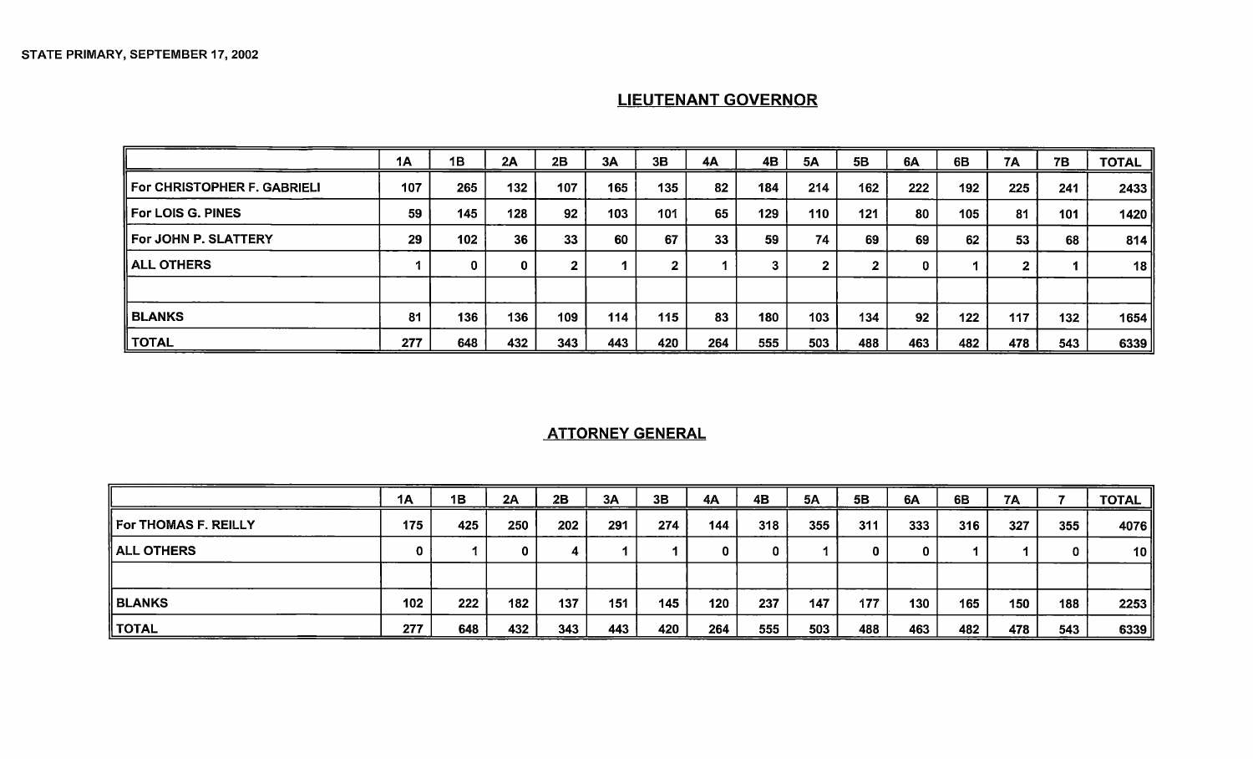# LIEUTENANT GOVERNOR

|                             | 1A  | 1B  | 2A  | 2B  | 3A  | 3B  | 4A  | 4B  | <b>5A</b> | 5B  | 6A  | 6B  | 7A  | <b>7B</b> | <b>TOTAL</b> |
|-----------------------------|-----|-----|-----|-----|-----|-----|-----|-----|-----------|-----|-----|-----|-----|-----------|--------------|
| For CHRISTOPHER F. GABRIELI | 107 | 265 | 132 | 107 | 165 | 135 | 82  | 184 | 214       | 162 | 222 | 192 | 225 | 241       | 2433         |
| For LOIS G. PINES           | 59  | 145 | 128 | 92  | 103 | 101 | 65  | 129 | 110       | 121 | 80  | 105 | 81  | 101       | 1420         |
| For JOHN P. SLATTERY        | 29  | 102 | 36  | 33  | 60  | 67  | 33  | 59  | 74        | 69  | 69  | 62  | 53  | 68        | 814          |
| <b>ALL OTHERS</b>           |     | 0   | 0   | Ω.  |     | .,  |     | ◠   |           | ົ   | 0   |     |     |           | 18           |
|                             |     |     |     |     |     |     |     |     |           |     |     |     |     |           |              |
| BLANKS                      | 81  | 136 | 136 | 109 | 114 | 115 | 83  | 180 | 103       | 134 | 92  | 122 | 117 | 132       | 1654         |
| <b>TOTAL</b>                | 277 | 648 | 432 | 343 | 443 | 420 | 264 | 555 | 503       | 488 | 463 | 482 | 478 | 543       | 6339         |

### ATTORNEY GENERAL

|                      | 1A  | 1B  | 2A  | 2B  | 3A  | 3B  | 4A  | 4B  | <b>5A</b> | 5B  | 6A  | 6B  | 7A  |     | <b>TOTAL</b> |
|----------------------|-----|-----|-----|-----|-----|-----|-----|-----|-----------|-----|-----|-----|-----|-----|--------------|
| For THOMAS F. REILLY | 175 | 425 | 250 | 202 | 291 | 274 | 144 | 318 | 355       | 311 | 333 | 316 | 327 | 355 | 4076         |
| <b>ALL OTHERS</b>    | 0   |     |     |     |     |     | 0   | 0   |           | 0   |     |     |     |     | 10 I         |
|                      |     |     |     |     |     |     |     |     |           |     |     |     |     |     |              |
| <b>BLANKS</b>        | 102 | 222 | 182 | 137 | 151 | 145 | 120 | 237 | 147       | 177 | 130 | 165 | 150 | 188 | 2253         |
| <b>TOTAL</b>         | 277 | 648 | 432 | 343 | 443 | 420 | 264 | 555 | 503       | 488 | 463 | 482 | 478 | 543 | 6339         |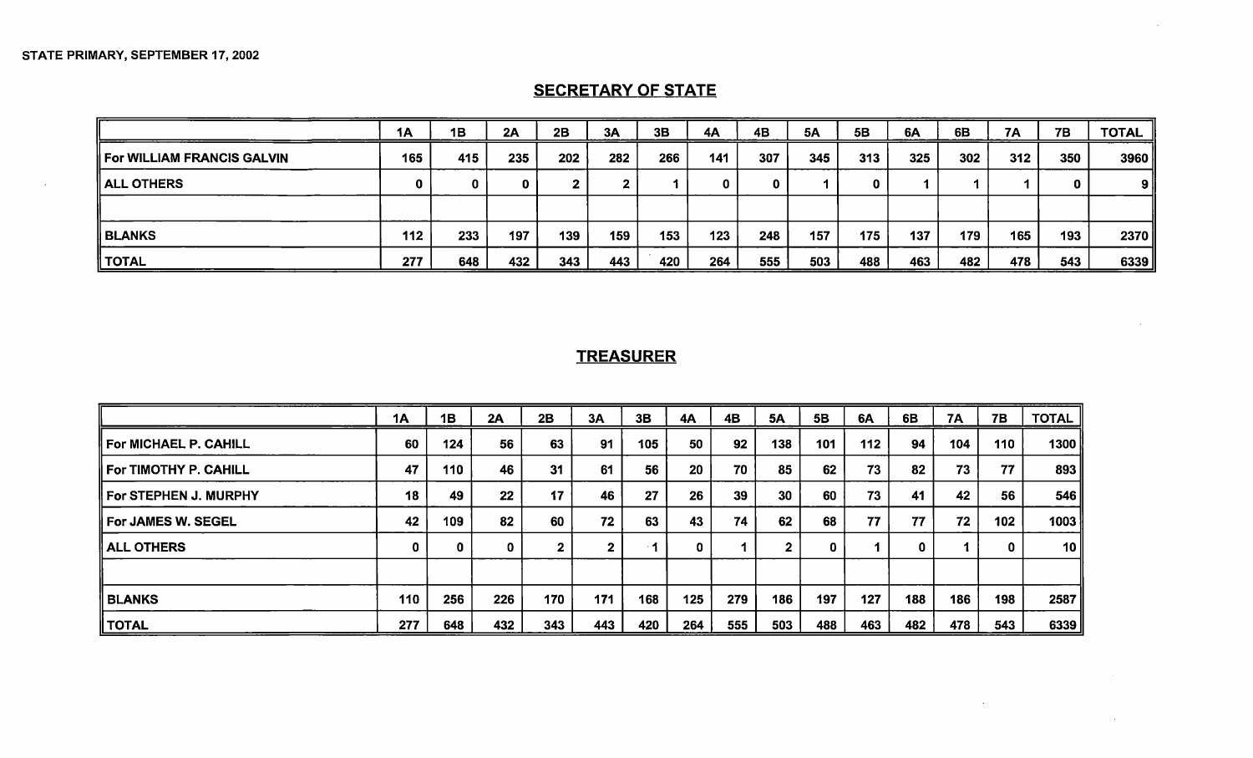# **SECRETARY OF STATE**

|                            | 1Α  | 1B  | 2A  | 2B  | 3A  | 3B  | 4A  | 4B  | <b>5A</b> | 5 <b>B</b> | 6A  | 6B  | <b>7A</b> | <b>7B</b> | <b>TOTAL</b> |
|----------------------------|-----|-----|-----|-----|-----|-----|-----|-----|-----------|------------|-----|-----|-----------|-----------|--------------|
| For WILLIAM FRANCIS GALVIN | 165 | 415 | 235 | 202 | 282 | 266 | 141 | 307 | 345       | 313        | 325 | 302 | 312       | 350       | 3960         |
| ALL OTHERS                 | 0   | 0   | 0   |     |     |     | 0   | 0   |           |            |     |     |           | 0         | 9 I          |
|                            |     |     |     |     |     |     |     |     |           |            |     |     |           |           |              |
| <b>BLANKS</b>              | 112 | 233 | 197 | 139 | 159 | 153 | 123 | 248 | 157       | 175        | 137 | 179 | 165       | 193       | 2370         |
| ∥ TOTAL                    | 277 | 648 | 432 | 343 | 443 | 420 | 264 | 555 | 503       | 488        | 463 | 482 | 478       | 543       | 6339         |

# **TREASURER**

|                       | 1A          | 1B  | 2A  | 2B           | 3A  | 3B        | 4A           | 4B  | <b>5A</b>    | 5B  | <b>6A</b> | 6B  | <b>7A</b> | 7B  | <b>TOTAL</b>    |
|-----------------------|-------------|-----|-----|--------------|-----|-----------|--------------|-----|--------------|-----|-----------|-----|-----------|-----|-----------------|
| For MICHAEL P. CAHILL | 60          | 124 | 56  | 63           | 91  | 105       | 50           | 92  | 138          | 101 | 112       | 94  | 104       | 110 | 1300            |
| For TIMOTHY P. CAHILL | 47          | 110 | 46  | 31           | 61  | 56        | 20           | 70  | 85           | 62  | 73        | 82  | 73        | 77  | 893             |
| For STEPHEN J. MURPHY | 18          | 49  | 22  | 17           | 46  | 27        | 26           | 39  | 30           | 60  | 73        | 41  | 42        | 56  | 546 l           |
| For JAMES W. SEGEL    | 42          | 109 | 82  | 60           | 72  | 63        | 43           | 74  | 62           | 68  | 77        | 77  | 72        | 102 | 1003            |
| <b>ALL OTHERS</b>     | $\mathbf 0$ | 0   | n   | $\mathbf{2}$ | ,   | $\cdot$ 4 | $\mathbf{0}$ |     | $\mathbf{2}$ | 0   |           | 0   |           | n   | 10 <sup>1</sup> |
|                       |             |     |     |              |     |           |              |     |              |     |           |     |           |     |                 |
| <b>BLANKS</b>         | 110         | 256 | 226 | 170          | 171 | 168       | 125          | 279 | 186          | 197 | 127       | 188 | 186       | 198 | 2587            |
| TOTAL                 | 277         | 648 | 432 | 343          | 443 | 420       | 264          | 555 | 503          | 488 | 463       | 482 | 478       | 543 | 6339            |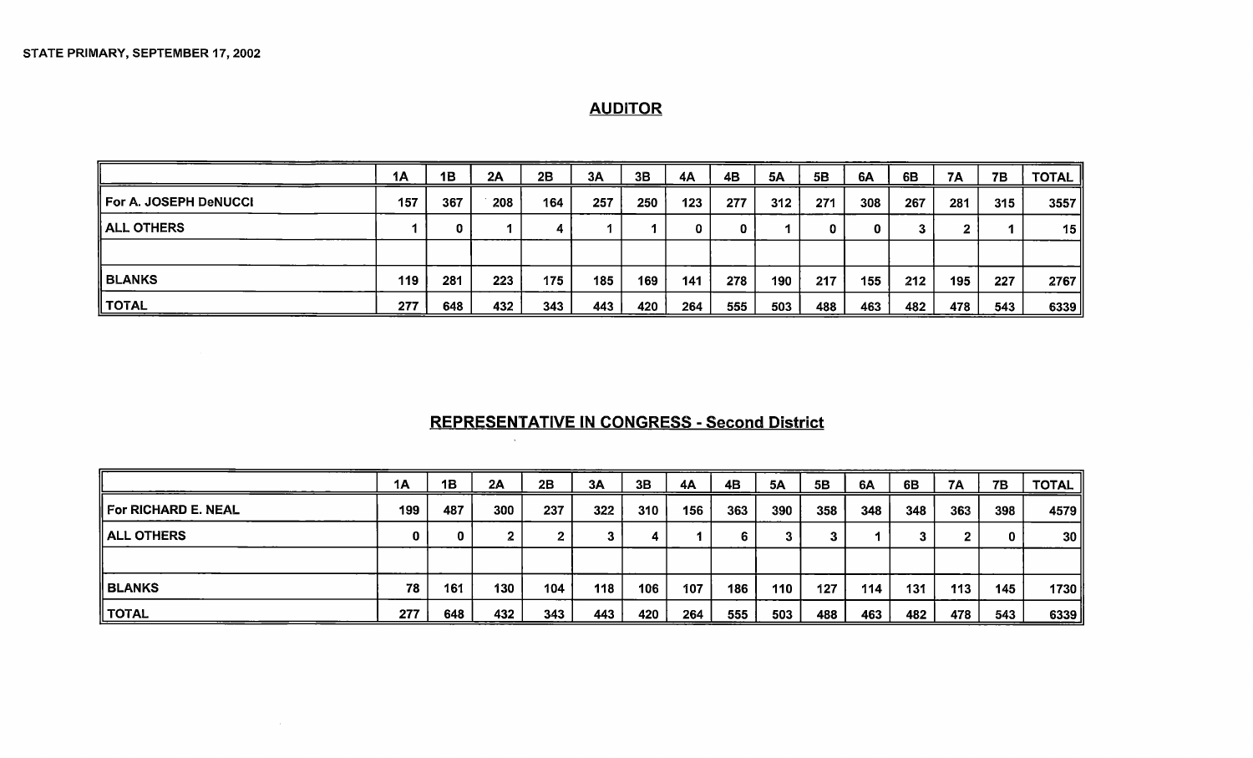# **AUDITOR**

|                              | 1A  | 1B  | 2A  | 2B  | 3A  | 3B  | 4A  | 4B  | <b>5A</b> | 5B  | 6A  | 6B  | <b>7A</b> | 7B  | <b>TOTAL</b>    |
|------------------------------|-----|-----|-----|-----|-----|-----|-----|-----|-----------|-----|-----|-----|-----------|-----|-----------------|
| <b>For A. JOSEPH DeNUCCI</b> | 157 | 367 | 208 | 164 | 257 | 250 | 123 | 277 | 312       | 271 | 308 | 267 | 281       | 315 | 3557            |
| <b>ALL OTHERS</b>            |     |     |     |     |     |     | 0   | 0   |           | 0   | 0.  | 3   | -2        |     | 15 <sup>1</sup> |
|                              |     |     |     |     |     |     |     |     |           |     |     |     |           |     |                 |
| ∥ BLANKS                     | 119 | 281 | 223 | 175 | 185 | 169 | 141 | 278 | 190       | 217 | 155 | 212 | 195       | 227 | 2767            |
| ∥ TOTAL                      | 277 | 648 | 432 | 343 | 443 | 420 | 264 | 555 | 503       | 488 | 463 | 482 | 478       | 543 | 6339            |

# REPRESENTATIVE IN CONGRESS - Second District

|                     | 1Α  | 1В  | 2A  | 2B  | 3Α  | 3B  | 4A  | 4B  | 5A     | 5B  | 6A  | 6B  | 7A  | 7B  | <b>TOTAL</b>    |
|---------------------|-----|-----|-----|-----|-----|-----|-----|-----|--------|-----|-----|-----|-----|-----|-----------------|
| For RICHARD E. NEAL | 199 | 487 | 300 | 237 | 322 | 310 | 156 | 363 | 390    | 358 | 348 | 348 | 363 | 398 | 4579            |
| ALL OTHERS          | 0.  | o   |     |     |     | 4   |     |     | ≏<br>J |     |     |     | -   |     | 30 <sup>1</sup> |
|                     |     |     |     |     |     |     |     |     |        |     |     |     |     |     |                 |
| <b>BLANKS</b>       | 78  | 161 | 130 | 104 | 118 | 106 | 107 | 186 | 110    | 127 | 114 | 131 | 113 | 145 | 1730            |
| ∥ TOTAL             | 277 | 648 | 432 | 343 | 443 | 420 | 264 | 555 | 503    | 488 | 463 | 482 | 478 | 543 | 6339            |

 $\sim$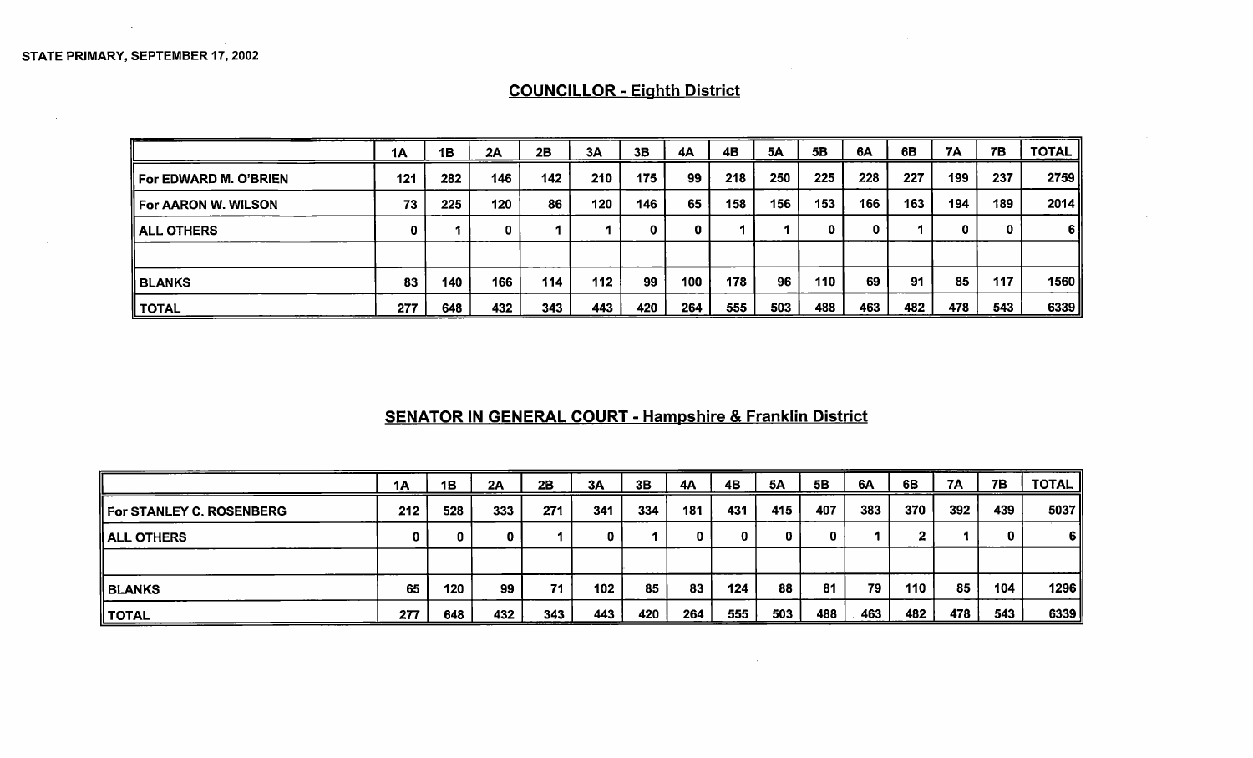# $1A$  1B  $2A$ 2B | 3A | 3B | 4A | 4B | 5A | 5B | 6A | 6B | 7A | 7B | TOTAL For EDWARD M. O' BRIEN 121 282 146 142 210 175 99 218 250 225 228 227 199 237 2759 For AARON W. WILSON 73 | 225 | 120 | 86 | 120 | 146 | 65 | 158 | 156 | 153 | 166 | 163 | 194 | 189 | 2014 | ALL OTHERS 0 <sup>1</sup> 0 <sup>1</sup> <sup>1</sup> 0 0 <sup>1</sup> <sup>1</sup> 0 0 <sup>1</sup> 0 0 6 BLANKS | 83 | 140 | 166 | 114 | 112 | 99 | 100 | 178 | 96 | 110 | 69 | 91 | 85 | 117 | 1560 TOTAL 277 648 432 343 443 420 <sup>1</sup> 264 555 503 488 463 482 478 543 6339

### COUNCILLOR - Eighth District

### SENATOR IN GENERAL COURT - Hampshire & Franklin District

|                                 | 1A  | 1B  | 2A           | 2B  | <b>3A</b> | 3B  | 4A  | 4B  | <b>5A</b> | 5B  | 6A  | 6B  | <b>7A</b> | 7B  | TOTAL |
|---------------------------------|-----|-----|--------------|-----|-----------|-----|-----|-----|-----------|-----|-----|-----|-----------|-----|-------|
| <b>For STANLEY C. ROSENBERG</b> | 212 | 528 | 333          | 271 | 341       | 334 | 181 | 431 | 415       | 407 | 383 | 370 | 392       | 439 | 5037  |
| <b>ALL OTHERS</b>               |     |     | $\mathbf{0}$ |     | n         |     | 0   | 0   | 0         | 0   |     |     |           |     | -6 II |
|                                 |     |     |              |     |           |     |     |     |           |     |     |     |           |     |       |
| <b>BLANKS</b>                   | 65  | 120 | 99           | 71  | 102       | 85  | 83  | 124 | 88        | 81  | 79  | 110 | 85        | 104 | 1296  |
| ∥ TOTAL                         | 277 | 648 | 432          | 343 | 443       | 420 | 264 | 555 | 503       | 488 | 463 | 482 | 478       | 543 | 6339  |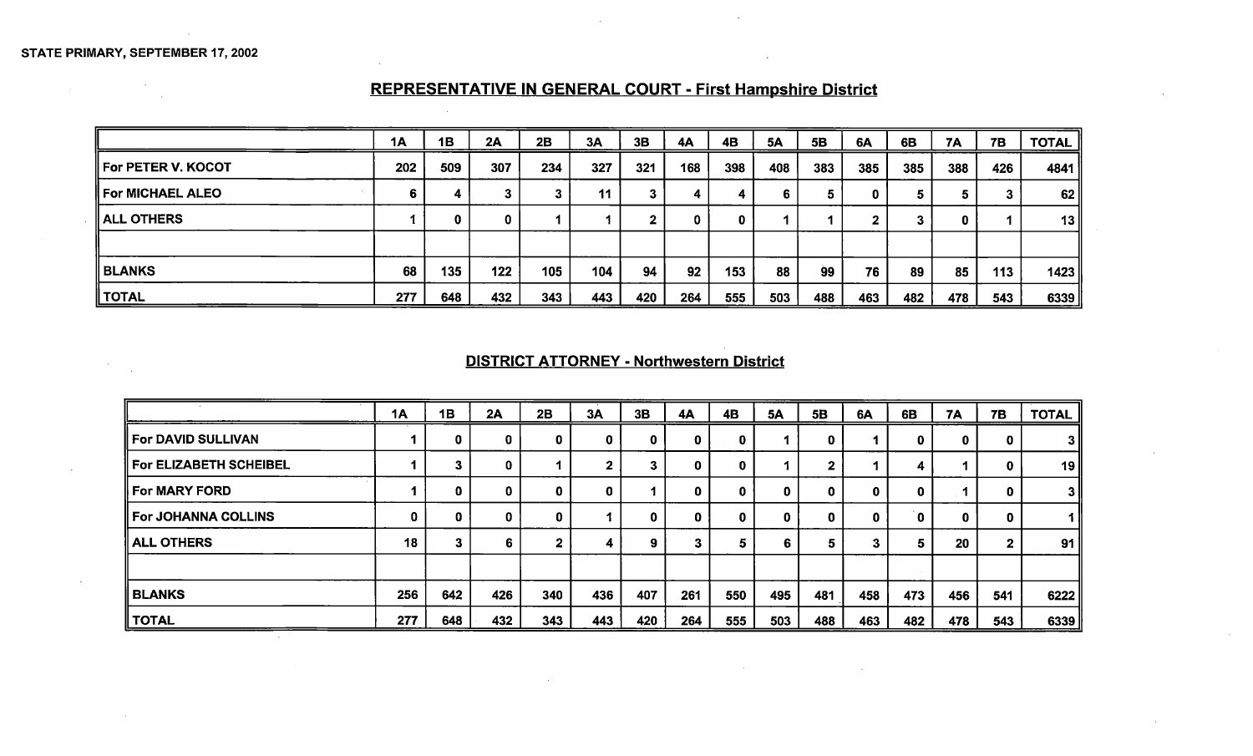$\mathcal{L}^{\mathcal{L}}$ 

 $\label{eq:2.1} \mathcal{L}_{\mathcal{A}}(\mathcal{A}) = \mathcal{L}_{\mathcal{A}}(\mathcal{A}) = \mathcal{L}_{\mathcal{A}}(\mathcal{A})$ 

|                        | 1A  | 1B  | 2A  | 2B  | 3A  | 3B           | 4A  | 4B  | <b>5A</b> | 5B  | 6A  | 6B  | <b>7A</b> | <b>7B</b> | <b>TOTAL</b> |
|------------------------|-----|-----|-----|-----|-----|--------------|-----|-----|-----------|-----|-----|-----|-----------|-----------|--------------|
| For PETER V. KOCOT     | 202 | 509 | 307 | 234 | 327 | 321          | 168 | 398 | 408       | 383 | 385 | 385 | 388       | 426       | 4841         |
| For MICHAEL ALEO       |     |     |     |     | 11  | 3            | 4   |     | 6         | 5.  |     | 5   |           |           | 62           |
| $\parallel$ ALL OTHERS |     |     | 0   |     |     | $\mathbf{2}$ | 0   | 0   |           |     |     | 3   |           |           | 13           |
|                        |     |     |     |     |     |              |     |     |           |     |     |     |           |           |              |
| <b>BLANKS</b>          | 68  | 135 | 122 | 105 | 104 | 94           | 92  | 153 | 88        | 99  | 76  | 89  | 85        | 113       | 1423∥        |
| <b>STOTAL</b>          | 277 | 648 | 432 | 343 | 443 | 420          | 264 | 555 | 503       | 488 | 463 | 482 | 478       | 543       | 6339         |

# REPRESENTATIVE IN GENERAL COURT - First Hampshire District

# DISTRICT ATTORNEY - Northwestern District

|                            | <b>1A</b> | 1B  | 2A  | 2B  | 3A  | 3B           | 4A          | <b>4B</b> | <b>5A</b> | 5B  | 6A  | 6B          | <b>7A</b> | <b>7B</b> | <b>TOTAL</b> |
|----------------------------|-----------|-----|-----|-----|-----|--------------|-------------|-----------|-----------|-----|-----|-------------|-----------|-----------|--------------|
| <b>For DAVID SULLIVAN</b>  |           |     | 0   |     | 0   | 0            | $\mathbf 0$ | o         |           |     |     | 0           | 0         |           | 3 II         |
| For ELIZABETH SCHEIBEL     |           | 3   | 0   |     |     |              | $\mathbf 0$ | 0         |           |     |     | 4           |           |           | 19           |
| For MARY FORD              |           | 0   | 0   |     | 0   |              | 0           |           | 0         | O   | 0   | $\mathbf 0$ |           | n         | 3            |
| <b>For JOHANNA COLLINS</b> | 0         | 0   | 0   |     |     | $\mathbf{0}$ | 0           | 0         | 0         | o   | 0   | 0           | 0         | o         | 7 H          |
| <b>ALL OTHERS</b>          | 18        | 3   | 6   |     | 4   | 9.           | 3           | 5         | 6         | 5   | 3   | 5.          | 20        |           | 91           |
|                            |           |     |     |     |     |              |             |           |           |     |     |             |           |           |              |
| <b>BLANKS</b>              | 256       | 642 | 426 | 340 | 436 | 407          | 261         | 550       | 495       | 481 | 458 | 473         | 456       | 541       | 6222         |
| <b>TOTAL</b>               | 277       | 648 | 432 | 343 | 443 | 420          | 264         | 555       | 503       | 488 | 463 | 482         | 478       | 543       | 6339         |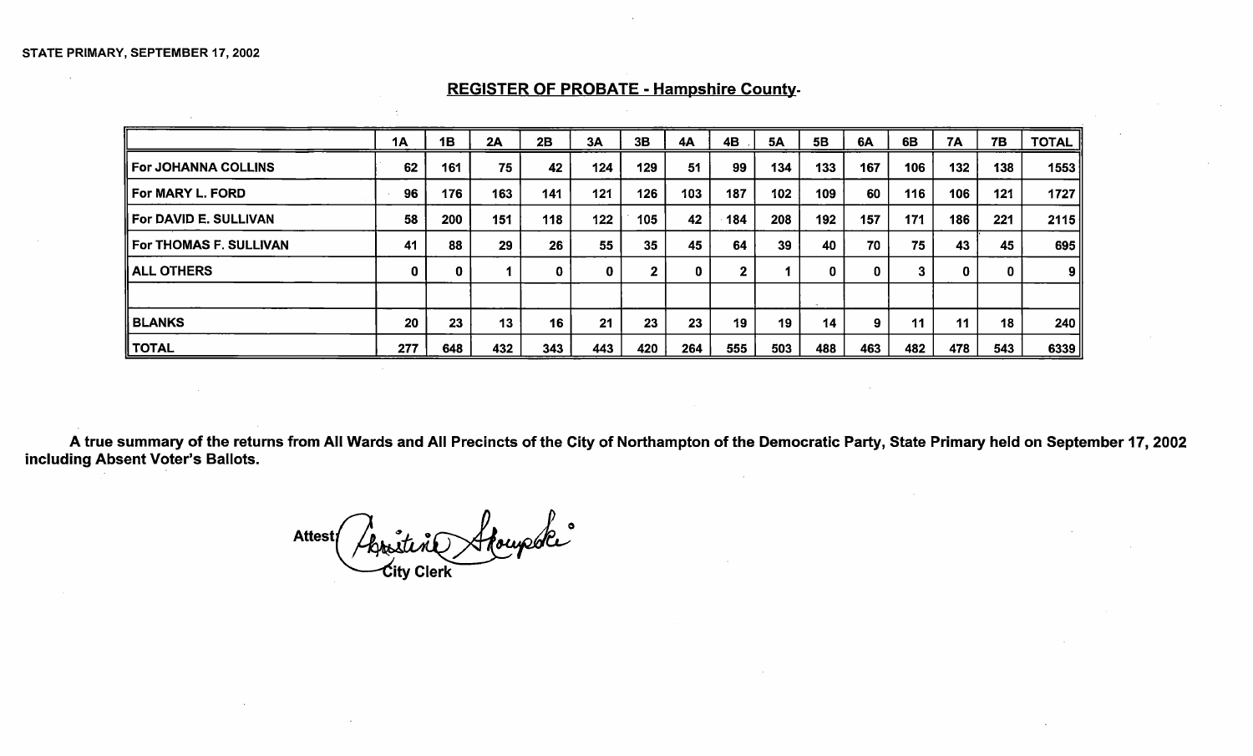|                            | 1Α  | 1B       | 2A  | 2B  | 3A  | 3B  | 4A  | 4 <b>B</b>   | <b>5A</b> | 5B  | 6A  | 6B           | <b>7A</b> | 7B  | <b>TOTAL</b> |
|----------------------------|-----|----------|-----|-----|-----|-----|-----|--------------|-----------|-----|-----|--------------|-----------|-----|--------------|
| <b>For JOHANNA COLLINS</b> | 62  | 161      | 75  | 42  | 124 | 129 | 51  | 99           | 134       | 133 | 167 | 106          | 132       | 138 | 1553         |
| For MARY L. FORD           | 96  | 176      | 163 | 141 | 121 | 126 | 103 | 187          | 102       | 109 | 60  | 116          | 106       | 121 | 1727         |
| For DAVID E. SULLIVAN      | 58  | 200      | 151 | 118 | 122 | 105 | 42  | 184          | 208       | 192 | 157 | 171          | 186       | 221 | 2115         |
| For THOMAS F. SULLIVAN     | 41  | 88       | 29  | 26  | 55  | 35  | 45  | 64           | 39        | 40  | 70  | 75           | 43        | 45  | 695          |
| <b>ALL OTHERS</b>          | 0   | $\bf{0}$ |     | 0   | 0   | 2   | 0   | $\mathbf{2}$ |           |     | 0   | $\mathbf{3}$ | 0         |     | 9            |
|                            |     |          |     |     |     |     |     |              |           |     |     |              |           |     |              |
| <b>BLANKS</b>              | 20  | 23       | 13  | 16  | 21  | 23  | 23  | 19           | 19        | 14  | 9   | 11           | 11        | 18  | 240 ll       |
| <b>TOTAL</b>               | 277 | 648      | 432 | 343 | 443 | 420 | 264 | 555          | 503       | 488 | 463 | 482          | 478       | 543 | 6339         |

#### REGISTER OF PROBATE - Hampshire County.

A true summary of the returns from All Wards and All Precincts of the City of Northampton of the Democratic Party, State Primary held on September 17, 2002 including Absent Voter's Ballots.

toupole Attest Christine *C***ity Clerk** 

 $\sim$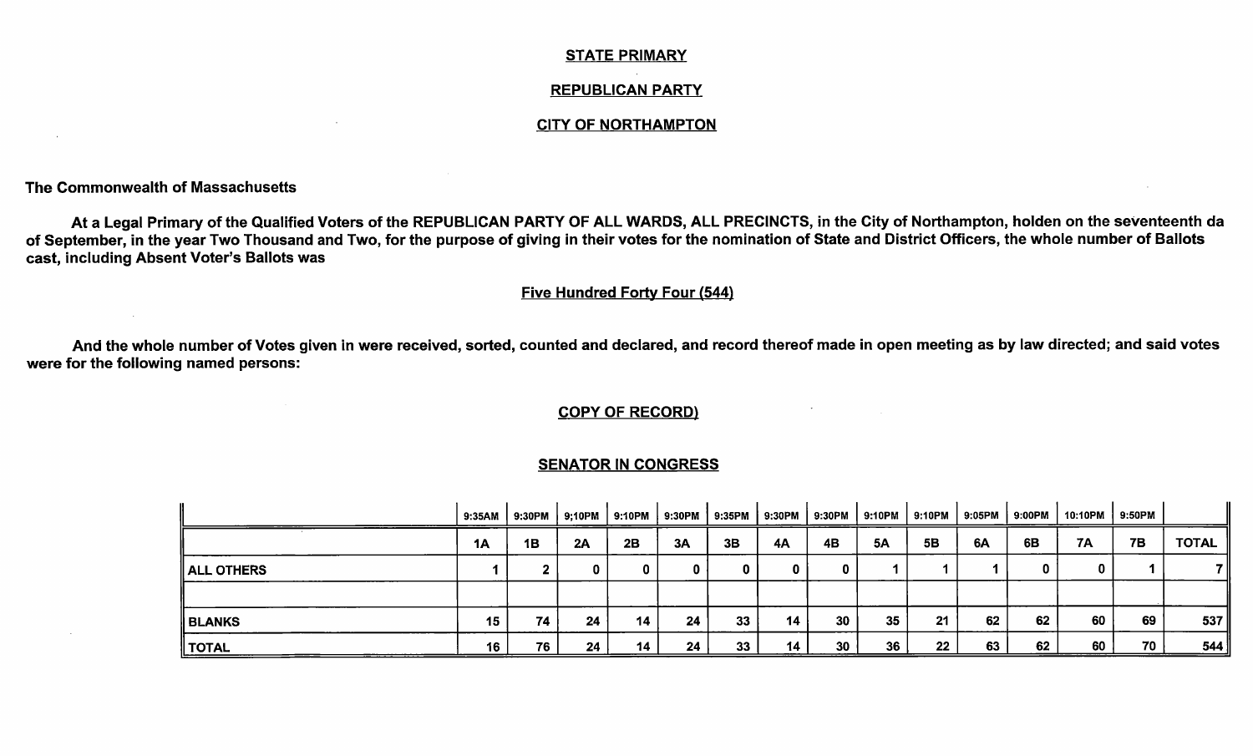#### STATE PRIMARY

#### REPUBLICAN PARTY

#### CITY OF NORTHAMPTON

The Commonwealth of Massachusetts

At a Legal Primary of the Qualified Voters of the REPUBLICAN PARTY OF ALL WARDS, ALL PRECINCTS, in the City of Northampton, holden on the seventeenth da of September, in the year Two Thousand and Two, for the purpose of giving in their votes for the nomination of State and District Officers, the whole number of Ballots cast, including Absent Voter's Ballots was

#### Five Hundred Forty Four (544)

And the whole number of Votes given in were received, sorted, counted and declared, and record thereof made in open meeting as by law directed; and said votes were for the following named persons:

#### COPY OF RECORD)

#### SENATOR IN CONGRESS

| g named persons:  |        |              |                        |          |                            |             |             |              |            |        |           |        |           |           |                |
|-------------------|--------|--------------|------------------------|----------|----------------------------|-------------|-------------|--------------|------------|--------|-----------|--------|-----------|-----------|----------------|
|                   |        |              | <b>COPY OF RECORD)</b> |          |                            |             |             | $\sim$       | $\sim 100$ |        |           |        |           |           |                |
|                   |        |              |                        |          | <b>SENATOR IN CONGRESS</b> |             |             |              |            |        |           |        |           |           |                |
|                   | 9:35AM | 9:30PM       | 9;10PM                 | 9:10PM   | 9:30PM                     | 9:35PM      | 9:30PM      | 9:30PM       | 9:10PM     | 9:10PM | 9:05PM    | 9:00PM | 10:10PM   | 9:50PM    |                |
|                   | 1A     | 1B           | 2A                     | 2B       | 3A                         | 3B          | <b>4A</b>   | 4B           | 5A         | 5B     | <b>6A</b> | 6B     | <b>7A</b> | <b>7B</b> | <b>TOTAL</b>   |
| <b>ALL OTHERS</b> |        | $\mathbf{2}$ | 0                      | $\bf{0}$ | 0                          | $\mathbf 0$ | $\mathbf 0$ | $\mathbf{0}$ |            |        |           | 0      | 0         |           | $\overline{7}$ |
|                   |        |              |                        |          |                            |             |             |              |            |        |           |        |           |           |                |
| <b>BLANKS</b>     | 15     | 74           | 24                     | 14       | 24                         | 33          | 14          | 30           | 35         | 21     | 62        | 62     | 60        | 69        | 537            |
| <b>TOTAL</b>      | 16     | 76           | 24                     | 14       | 24                         | 33          | 14          | 30           | 36         | 22     | 63        | 62     | 60        | 70        | 544            |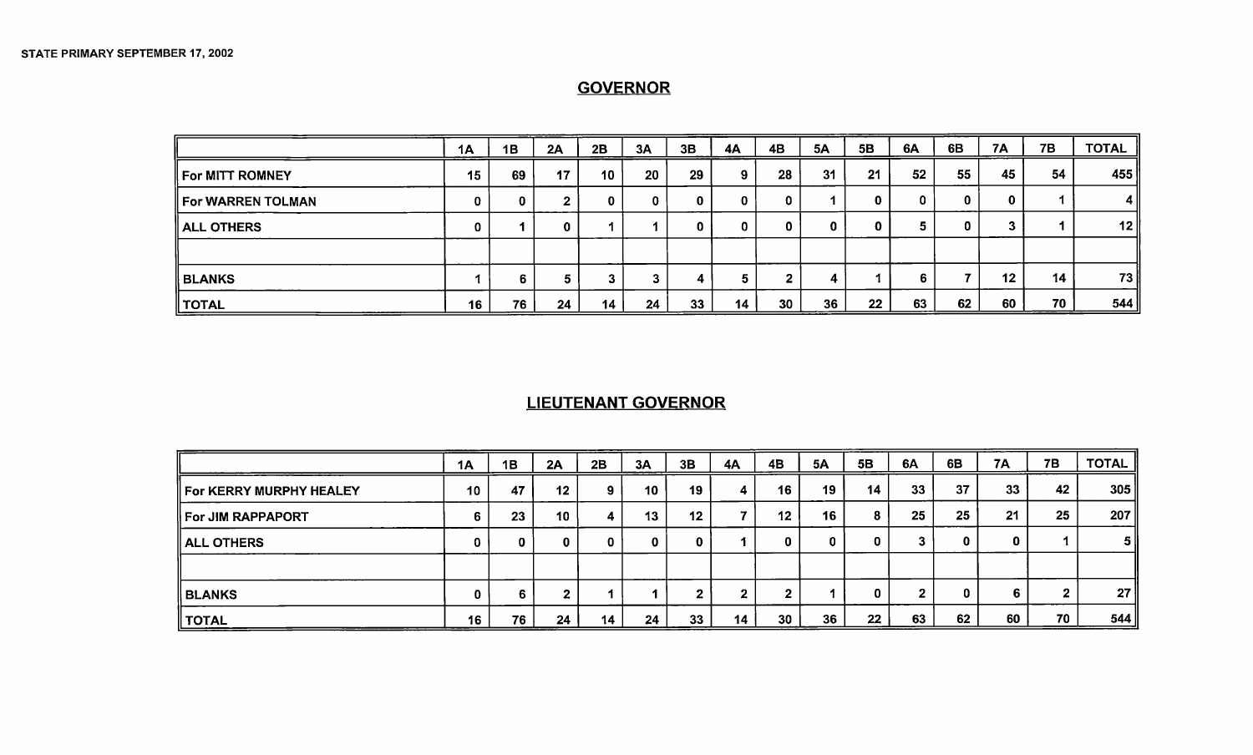# **GOVERNOR**

|                   | 1А | 1Β | 2A | 2B | 3A | 3B | 4А | 4B | <b>5A</b> | 5B | 6A | 6B | 7A | 7В | <b>TOTAL</b> |
|-------------------|----|----|----|----|----|----|----|----|-----------|----|----|----|----|----|--------------|
| For MITT ROMNEY   | 15 | 69 | 17 | 10 | 20 | 29 | 9  | 28 | 31        | 21 | 52 | 55 | 45 | 54 | 455          |
| For WARREN TOLMAN |    | 0  | ◠  | 0  | 0. | 0  | 0. | 0  |           | 0  |    | 0  |    |    | 4 I          |
| <b>ALL OTHERS</b> |    |    | 0  |    |    | 0  | 0  | 0  |           | 0  | 5  |    |    |    | 12           |
|                   |    |    |    |    |    |    |    |    |           |    |    |    |    |    |              |
| BLANKS            |    |    | э  |    |    | 4  |    |    | 4         |    | 6. |    | 12 | 14 | 73           |
| ∥ TOTAL           | 16 | 76 | 24 | 14 | 24 | 33 | 14 | 30 | 36        | 22 | 63 | 62 | 60 | 70 | 544          |

# LIEUTENANT GOVERNOR

|                                | 1A | 1B | 2A      | 2B | 3A | 3B | 4A      | 4B | <b>5A</b> | 5B | 6A | 6B | 7A | 7B | <b>TOTAL</b>    |
|--------------------------------|----|----|---------|----|----|----|---------|----|-----------|----|----|----|----|----|-----------------|
| <b>For KERRY MURPHY HEALEY</b> | 10 | 47 | $12 \,$ | 9  | 10 | 19 | 4       | 16 | 19        | 14 | 33 | 37 | 33 | 42 | 305             |
| <b>For JIM RAPPAPORT</b>       | 6  | 23 | 10      | 4  | 13 | 12 |         | 12 | 16        | 8  | 25 | 25 | 21 | 25 | 207             |
| <b>ALL OTHERS</b>              |    |    |         |    | 0  | 0  |         | 0  |           | 0  | -  | 0  |    |    | 5 <sup>1</sup>  |
|                                |    |    |         |    |    |    |         |    |           |    |    |    |    |    |                 |
| <b>BLANKS</b>                  | 0  |    |         |    |    |    | ີ<br>£. |    |           | 0  |    | 0  |    |    | 27 <sup>1</sup> |
| ∥ TOTAL                        | 16 | 76 | 24      | 14 | 24 | 33 | 14      | 30 | 36        | 22 | 63 | 62 | 60 | 70 | 544             |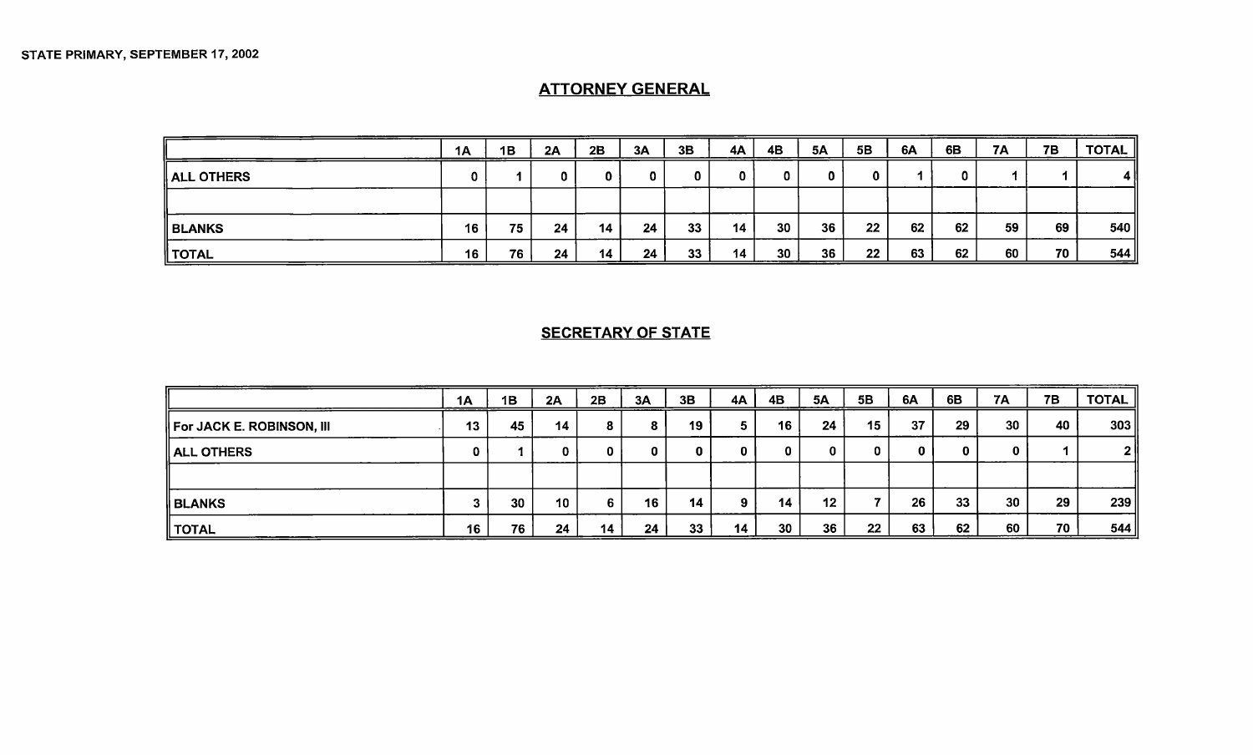# ATTORNEY GENERAL

|                   | 1A | 1B | 2A | 2B | 3A | 3B | 4A | 4B | <b>5A</b> | 5B | 6A | 6B | <b>7A</b> | 7B | <b>TOTAL</b> |
|-------------------|----|----|----|----|----|----|----|----|-----------|----|----|----|-----------|----|--------------|
| <b>ALL OTHERS</b> |    |    | 0  |    |    |    | 0  | 0. | 0         |    |    |    |           |    | 4 II         |
|                   |    |    |    |    |    |    |    |    |           |    |    |    |           |    |              |
| <b>BLANKS</b>     | 16 | 75 | 24 | 14 | 24 | 33 | 14 | 30 | 36        | 22 | 62 | 62 | 59        | 69 | 540          |
| TOTAL             | 16 | 76 | 24 | 14 | 24 | 33 | 14 | 30 | 36        | 22 | 63 | 62 | 60        | 70 | 544          |

# **SECRETARY OF STATE**

|                           | <b>1A</b> | 1B | 2A | 2B              | 3A | 3B | 4A | 4Β              | <b>5A</b> | 5B | 6A | 6B | <b>7A</b> | <b>7B</b> | TOTAL          |
|---------------------------|-----------|----|----|-----------------|----|----|----|-----------------|-----------|----|----|----|-----------|-----------|----------------|
| For JACK E. ROBINSON, III | 13        | 45 | 14 | 8               |    | 19 | 5. | 16              | 24        | 15 | 37 | 29 | 30        | 40        | 303            |
| ALL OTHERS                |           |    |    | 0               |    |    | 0  |                 | Ω         | 0  | 0  |    |           |           | 2 <sub>1</sub> |
|                           |           |    |    |                 |    |    |    |                 |           |    |    |    |           |           |                |
| <b>BLANKS</b>             |           | 30 | 10 | 6.              | 16 | 14 | 9  | 14              | $12 \,$   |    | 26 | 33 | 30        | 29        | 239            |
| <b>TOTAL</b>              | 16        | 76 | 24 | 14 <sub>1</sub> | 24 | 33 | 14 | 30 <sub>2</sub> | 36        | 22 | 63 | 62 | 60        | 70        | 544            |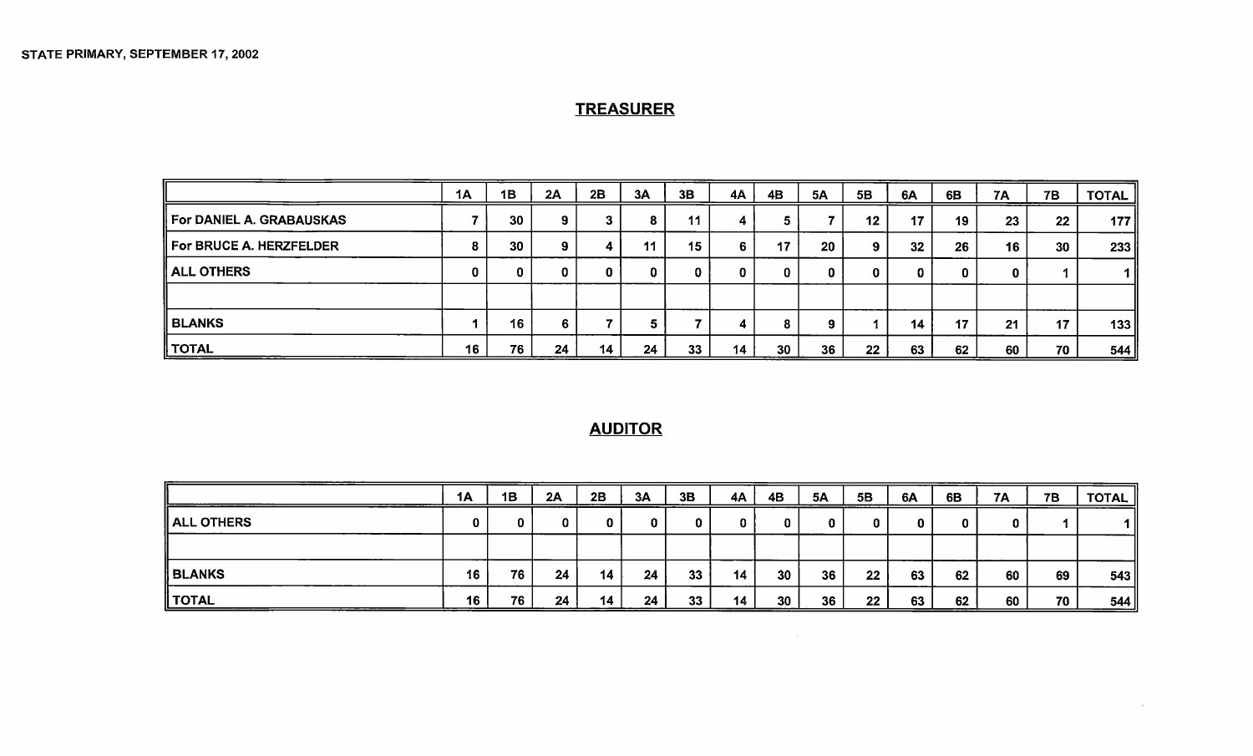# TREASURER

|                          | <b>1A</b> | 1B | 2A | 2B | 3A        | 3B | 4A | 4B | <b>5A</b> | 5B | 6A | 6B | <b>7A</b> | <b>7B</b>       | <b>TOTAL</b> |
|--------------------------|-----------|----|----|----|-----------|----|----|----|-----------|----|----|----|-----------|-----------------|--------------|
| For DANIEL A. GRABAUSKAS |           | 30 | 9  | J. | $\bullet$ | 11 | 4  | 5  |           | 12 | 17 | 19 | 23        | 22              | 177          |
| For BRUCE A. HERZFELDER  |           | 30 | 9  | 4  | 11        | 15 | 6  | 17 | 20        | 9  | 32 | 26 | 16        | 30 <sub>o</sub> | 233          |
| <b>ALL OTHERS</b>        | 0         | n. | 0  |    |           |    | 0  | 0  |           | 0  | 0  | 0  | O         |                 | 1 II         |
|                          |           |    |    |    |           |    |    |    |           |    |    |    |           |                 |              |
| ∥ BLANKS                 |           | 16 | 6  |    |           |    |    | 8  |           |    | 14 | 17 | 21        | 17              | 133          |
| ∥ TOTAL                  | 16        | 76 | 24 | 14 | 24        | 33 | 14 | 30 | 36        | 22 | 63 | 62 | 60        | 70              | 544          |

# **AUDITOR**

|               | 1A | 1B | 2A | 2B | 3A | 3B | 4А | 4B | <b>5A</b> | 5B | 6A | 6B | <b>7A</b> | 7B | <b>TOTAL</b> |
|---------------|----|----|----|----|----|----|----|----|-----------|----|----|----|-----------|----|--------------|
| ALL OTHERS    |    |    | 0  | 0  | 0  |    | 0  | 0  | 0         |    |    |    | 0         |    | 1 II         |
|               |    |    |    |    |    |    |    |    |           |    |    |    |           |    |              |
| <b>BLANKS</b> | 16 | 76 | 24 | 14 | 24 | 33 | 14 | 30 | 36        | 22 | 63 | 62 | 60        | 69 | 543          |
| TOTAL         | 16 | 76 | 24 | 14 | 24 | 33 | 14 | 30 | 36        | 22 | 63 | 62 | 60        | 70 | 544          |

 $\sim 10^{11}$ 

 $\mathcal{A}$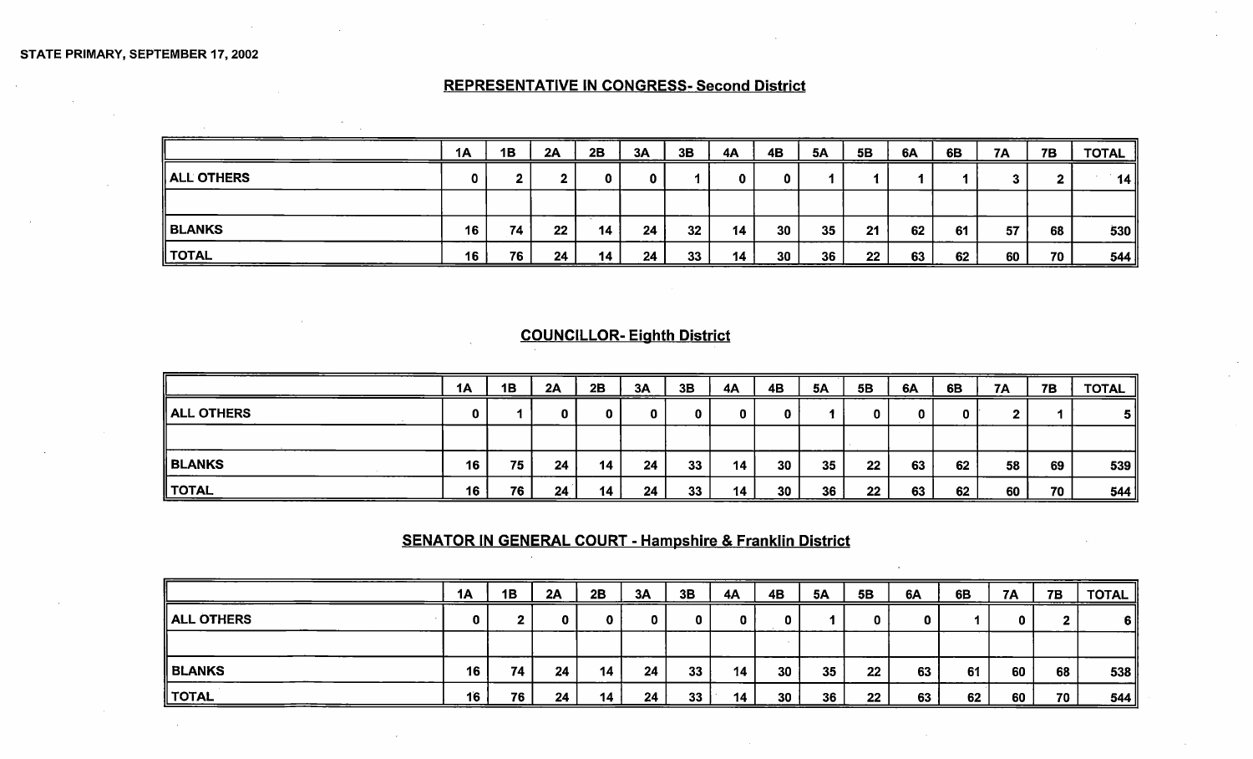STATE PRIMARY, SEPTEMBER 17, 2002

#### REPRESENTATIVE IN CONGRESS- Second District

|               | 1A | 1B | 2A | 2B | 3A | 3B | 4A | 4Β | <b>5A</b> | 5B | 6A | 6B | <b>7A</b> | 7B | <b>TOTAL</b> |
|---------------|----|----|----|----|----|----|----|----|-----------|----|----|----|-----------|----|--------------|
| ALL OTHERS    |    |    |    |    |    |    |    | o  |           |    |    |    |           | л. | 14           |
|               |    |    |    |    |    |    |    |    |           |    |    |    |           |    |              |
| <b>BLANKS</b> | 16 | 74 | 22 | 14 | 24 | 32 | 14 | 30 | 35        | 21 | 62 | 61 | 57        | 68 | 530          |
| <b>TOTAL</b>  | 16 | 76 | 24 | 14 | 24 | 33 | 14 | 30 | 36        | 22 | 63 | 62 | 60        | 70 | 544          |

# COUNCILLOR- Eighth District

|                   | 1A | 1B | 2A | 2B | 3A | 3B | 4A | 4B | <b>5A</b> | 5B | 6A | 6B | 7A | 7B | <b>TOTAL</b> |
|-------------------|----|----|----|----|----|----|----|----|-----------|----|----|----|----|----|--------------|
| <b>ALL OTHERS</b> | 0  |    |    | 0  | 0  |    | 0  | 0  |           | 0  | 0  |    | o. |    | 5 II         |
|                   |    |    |    |    |    |    |    |    |           |    |    |    |    |    |              |
| <b>BLANKS</b>     | 16 | 75 | 24 | 14 | 24 | 33 | 14 | 30 | 35        | 22 | 63 | 62 | 58 | 69 | 539          |
| ∥ TOTAL           | 16 | 76 | 24 | 14 | 24 | 33 | 14 | 30 | 36        | 22 | 63 | 62 | 60 | 70 | $544$        |

# SENATOR IN GENERAL COURT - Hampshire & Franklin District

|            | 1A | 1B | 2A | 2B | 3A | 3B | 4A | 4B | <b>5A</b> | 5B | 6A | 6B | <b>7A</b> | 7B | <b>TOTAL</b> |
|------------|----|----|----|----|----|----|----|----|-----------|----|----|----|-----------|----|--------------|
| ALL OTHERS |    |    | 0  |    | O  |    |    |    |           |    | 0  |    | 0         |    | -6 II        |
|            |    |    |    |    |    |    |    |    |           |    |    |    |           |    |              |
| BLANKS     | 16 | 74 | 24 | 14 | 24 | 33 | 14 | 30 | 35        | 22 | 63 | 61 | 60        | 68 | 538          |
| TOTAL      | 16 | 76 | 24 | 14 | 24 | 33 | 14 | 30 | 36        | 22 | 63 | 62 | 60        | 70 | 544          |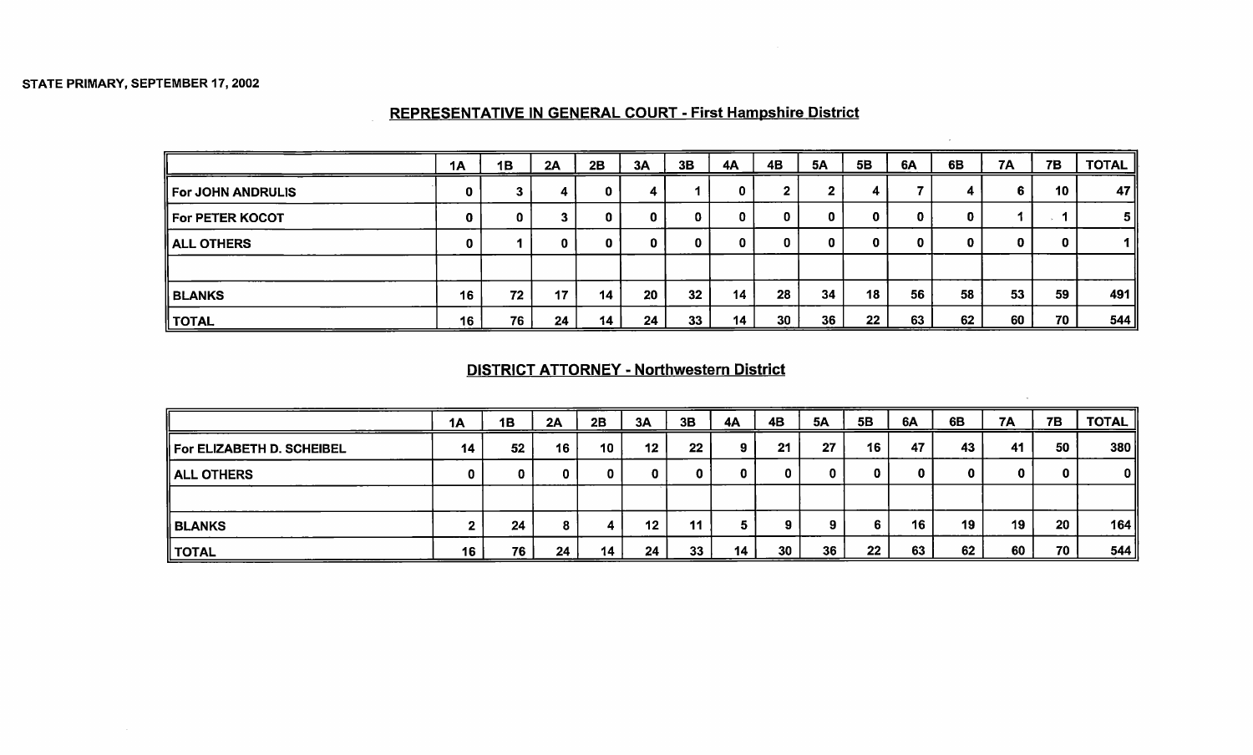|                          | 1A | 1B | 2A | 2B | 3A | 3B | 4A | 4B | <b>5A</b> | 5B | 6A | 6B | <b>7A</b> | <b>7B</b> | <b>TOTAL</b> |
|--------------------------|----|----|----|----|----|----|----|----|-----------|----|----|----|-----------|-----------|--------------|
| <b>For JOHN ANDRULIS</b> |    |    | 4  | 0  | 4  |    |    | 灬  |           | 4  |    |    | 6         | 10        | 47           |
| <b>For PETER KOCOT</b>   |    | 0  | 3  | U. | o  |    |    | 0  | 0         | 0  | 0  | 0  |           |           | 5            |
| ALL OTHERS               |    |    | 0  |    |    |    |    | 0  | 0         | 0  | 0  | 0  |           | 0         |              |
|                          |    |    |    |    |    |    |    |    |           |    |    |    |           |           |              |
| ∥ BLANKS                 | 16 | 72 | 17 | 14 | 20 | 32 | 14 | 28 | 34        | 18 | 56 | 58 | 53        | 59        | 491          |
| ∥ TOTAL ∣                | 16 | 76 | 24 | 14 | 24 | 33 | 14 | 30 | 36        | 22 | 63 | 62 | 60        | 70        | 544          |

#### REPRESENTATIVE IN GENERAL COURT - First Hampshire District

#### DISTRICT ATTORNEY - Northwestern District

|                           | 1A | 1B | 2A | 2B | 3A      | 3B | 4A | 4B | <b>5A</b> | 5B | 6A | 6B | <b>7A</b> | 7B |        |
|---------------------------|----|----|----|----|---------|----|----|----|-----------|----|----|----|-----------|----|--------|
| For ELIZABETH D. SCHEIBEL | 14 | 52 | 16 | 10 | 12      | 22 |    | 21 | 27        | 16 | 47 | 43 | 41        | 50 | 380    |
| ALL OTHERS                |    |    | 0  |    | 0       |    |    | 0  | 0.        |    | 0  |    | 0         | 0  | 0 II   |
|                           |    |    |    |    |         |    |    |    |           |    |    |    |           |    |        |
| ∥ BLANKS                  |    | 24 | 8  | 4  | $12 \,$ | 11 |    |    | $\bullet$ | 6  | 16 | 19 | 19        | 20 | 164    |
| <b>TOTAL</b>              | 16 | 76 | 24 | 14 | 24      | 33 | 14 | 30 | 36        | 22 | 63 | 62 | 60        | 70 | 544 ll |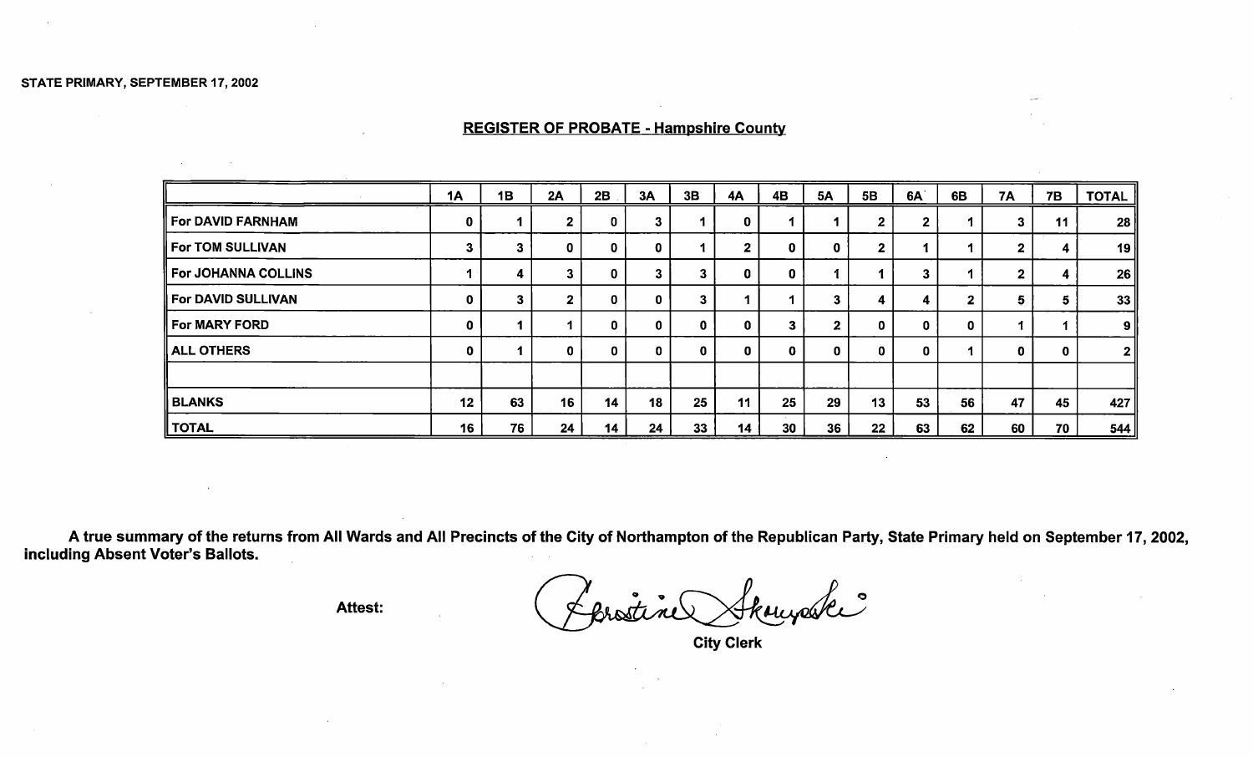#### REGISTER OF PROBATE - Hampshire County

|                            | <b>1A</b> | 1B | 2A           | 2B           | 3A       | 3B | <b>4A</b>    | 4B           | <b>5A</b> | 5B | 6A           | 6B           | <b>7A</b>    | 7B | <b>TOTAL</b>   |
|----------------------------|-----------|----|--------------|--------------|----------|----|--------------|--------------|-----------|----|--------------|--------------|--------------|----|----------------|
| <b>For DAVID FARNHAM</b>   | 0         |    | $\mathbf{2}$ | $\mathbf 0$  | 3        |    | 0            |              |           | 2  | $\mathbf{2}$ |              | $\mathbf{3}$ | 11 | 28             |
| <b>For TOM SULLIVAN</b>    | 3         |    | $\mathbf{0}$ | 0            | 0        |    | $\mathbf{2}$ | 0            | 0         |    |              |              | $\mathbf{2}$ |    | 19 I           |
| <b>For JOHANNA COLLINS</b> |           | 4  | 3            | 0            | 3        |    | 0            | $\mathbf{0}$ |           |    | 3            |              | $\mathbf{2}$ |    | 26             |
| For DAVID SULLIVAN         | 0         | 3  | 2            | $\mathbf 0$  | 0        | 3  |              |              | 3         | 4  | 4            | $\mathbf{2}$ | 5            | a. | 33             |
| For MARY FORD              | 0         |    |              | $\mathbf{0}$ | $\Omega$ | O  | 0            | $\mathbf{3}$ | 2         |    | $\mathbf 0$  | 0            |              |    | 9              |
| <b>ALL OTHERS</b>          | 0         |    | $\mathbf{0}$ | 0            | 0        | 0  | 0            | $\bf{0}$     | 0         | o  | $\mathbf 0$  |              | $\mathbf{0}$ | 0  | 2 <sup>1</sup> |
|                            |           |    |              |              |          |    |              |              |           |    |              |              |              |    |                |
| <b>BLANKS</b>              | 12        | 63 | 16           | 14           | 18       | 25 | 11           | 25           | 29        | 13 | 53           | 56           | 47           | 45 | 427            |
| <b>TOTAL</b>               | 16        | 76 | 24           | 14           | 24       | 33 | 14           | 30           | 36        | 22 | 63           | 62           | 60           | 70 | 544            |

A true summary of the returns from All Wards and All Precincts of the City of Northampton of the Republican Party, State Primary held on September 17, 2002, including Absent Voter's Ballots.

Attest:

d Skaupele

City Clerk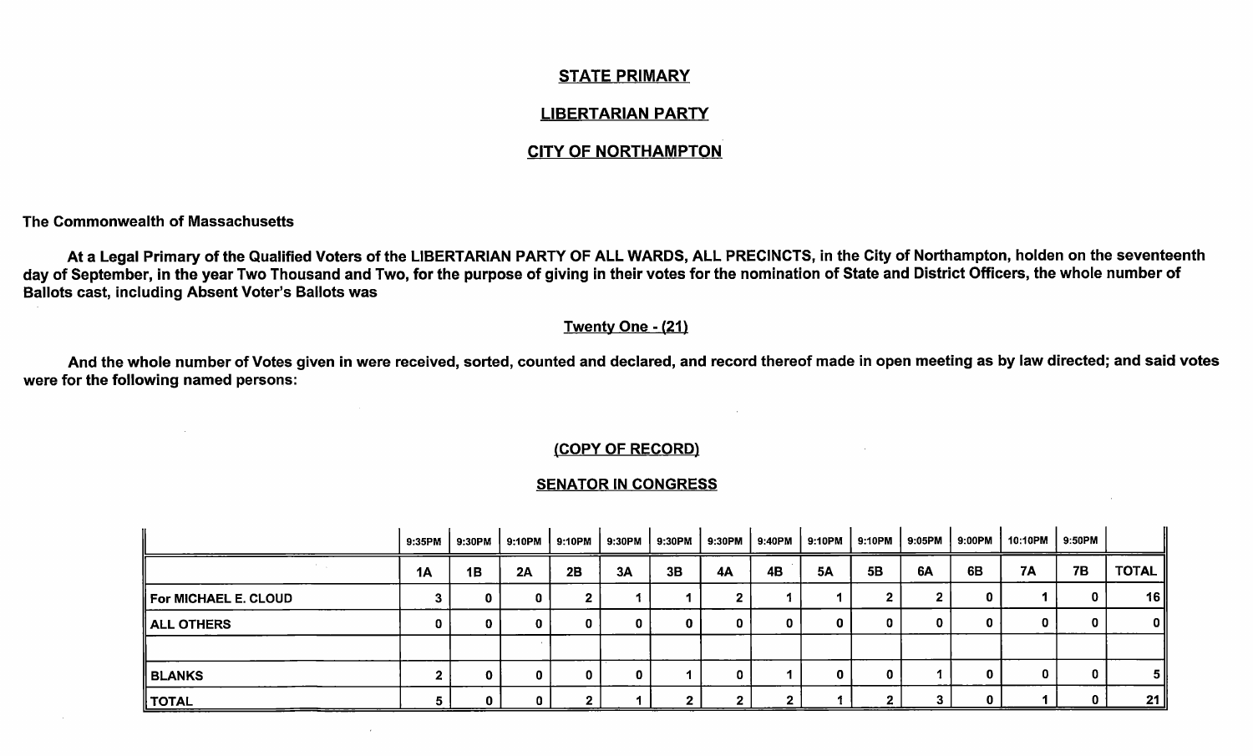#### STATE PRIMARY

#### LIBERTARIAN PARTY

#### CITY OF NORTHAMPTON

The Commonwealth of Massachusetts

At a Legal Primary of the Qualified Voters of the LIBERTARIAN PARTY OF ALL WARDS, ALL PRECINCTS, in the City of Northampton, holden on the seventeenth day of September, in the year Two Thousand and Two, for the purpose of giving in their votes for the nomination of State and District Officers, the whole number of Ballots cast, including Absent Voter's Ballots was

#### Twenty One - (21)

And the whole number of Votes given in were received, sorted, counted and declared, and record thereof made in open meeting as by law directed; and said votes were for the following named persons:

#### COPY OF RECORD)

#### SENATOR IN CONGRESS

|                      | 9:35PM | 9:30PM       | 9:10PM | 9:10PM      | 9:30PM | 9:30PM | 9:30PM       | 9:40PM | 9:10PM    | 9:10PM | 9:05PM | 9:00PM       | 10:10PM   | 9:50PM    |                 |
|----------------------|--------|--------------|--------|-------------|--------|--------|--------------|--------|-----------|--------|--------|--------------|-----------|-----------|-----------------|
|                      | 1A     | 1B           | 2A     | 2B          | 3A     | 3B     | 4A           | 4B     | <b>5A</b> | 5B     | 6A     | 6B           | <b>7A</b> | <b>7B</b> | <b>TOTAL</b>    |
| For MICHAEL E. CLOUD |        | 0            | 0      | ົ           |        |        |              |        |           | -      |        | 0            |           |           | 16              |
| ALL OTHERS           |        | 0            | 0      | $\mathbf 0$ | 0.     | 0      | $\mathbf{0}$ |        |           |        | o      | 0            | 0.        |           | 0 II            |
|                      |        |              |        |             |        |        |              |        |           |        |        |              |           |           |                 |
| BLANKS               |        | $\mathbf{0}$ |        | 0           | 0      |        | ω            |        | 0         | 0      |        | $\mathbf{0}$ | 0         |           | 5 <sub>  </sub> |
| ∥ TOTAL              |        | $\mathbf{0}$ |        | m           |        |        | .,           |        |           |        |        | $\mathbf{0}$ |           |           | 21              |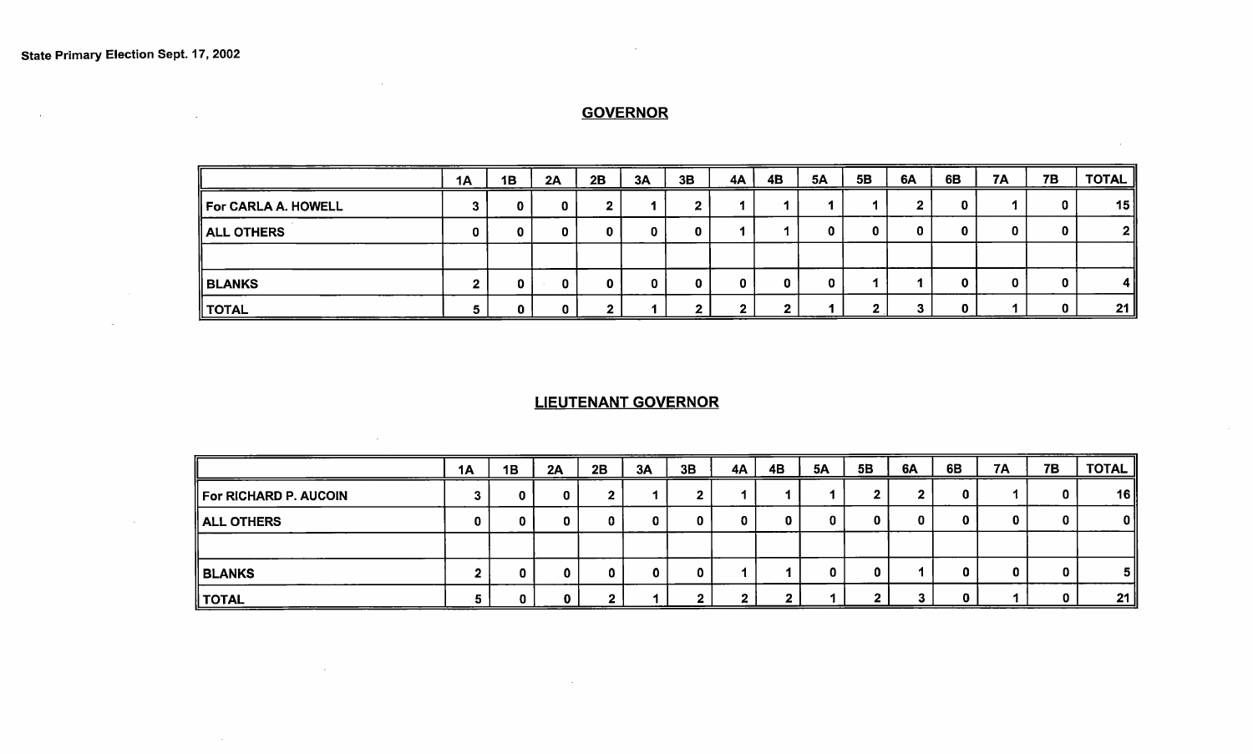$\sim$ 

 $\sim 10^{-1}$ 

 $\sim$ 

 $\sim 10^{-1}$ 

the contract of the contract of the contract of

### **GOVERNOR**

|                     | 1A | <b>1B</b> | 2A | 2B | 3A | 3B | 4A | 4B | 5Α | 5B | 6A | 6B | <b>7A</b> | <b>7B</b> | <b>TOTAL</b> |
|---------------------|----|-----------|----|----|----|----|----|----|----|----|----|----|-----------|-----------|--------------|
| For CARLA A. HOWELL |    | 0         |    |    |    |    |    |    |    |    |    |    |           |           | 15           |
| ALL OTHERS          |    | 0         |    |    | O  |    |    |    |    |    |    |    |           |           | <b>2</b> l   |
|                     |    |           |    |    |    |    |    |    |    |    |    |    |           |           |              |
| ∥ BLANKS            |    |           |    |    |    |    |    |    |    |    |    |    |           |           | 4 I          |
| <b>TOTAL</b>        |    |           |    |    |    |    |    |    |    |    |    |    |           |           | 21           |

# LIEUTENANT GOVERNOR

 $\sim 100$ 

|                       | 1A | 1B | 2A | 2B | 3A | 3B | 4A | 4B | <b>5A</b> | 5B | 6A | 6B | 7A | <b>7B</b> | <b>TOTAL</b> |
|-----------------------|----|----|----|----|----|----|----|----|-----------|----|----|----|----|-----------|--------------|
| For RICHARD P. AUCOIN |    |    |    |    |    |    |    |    |           |    |    |    |    |           | 16           |
| ALL OTHERS            | u  |    |    |    | υ  |    |    |    |           |    |    |    |    |           | $\mathbf{0}$ |
|                       |    |    |    |    |    |    |    |    |           |    |    |    |    |           |              |
| ∥ BLANKS              |    |    |    |    |    |    |    |    |           |    |    |    |    |           | 5 II         |
| $\parallel$ TOTAL     | Ð. |    |    |    |    |    |    |    |           |    |    |    |    |           | 21           |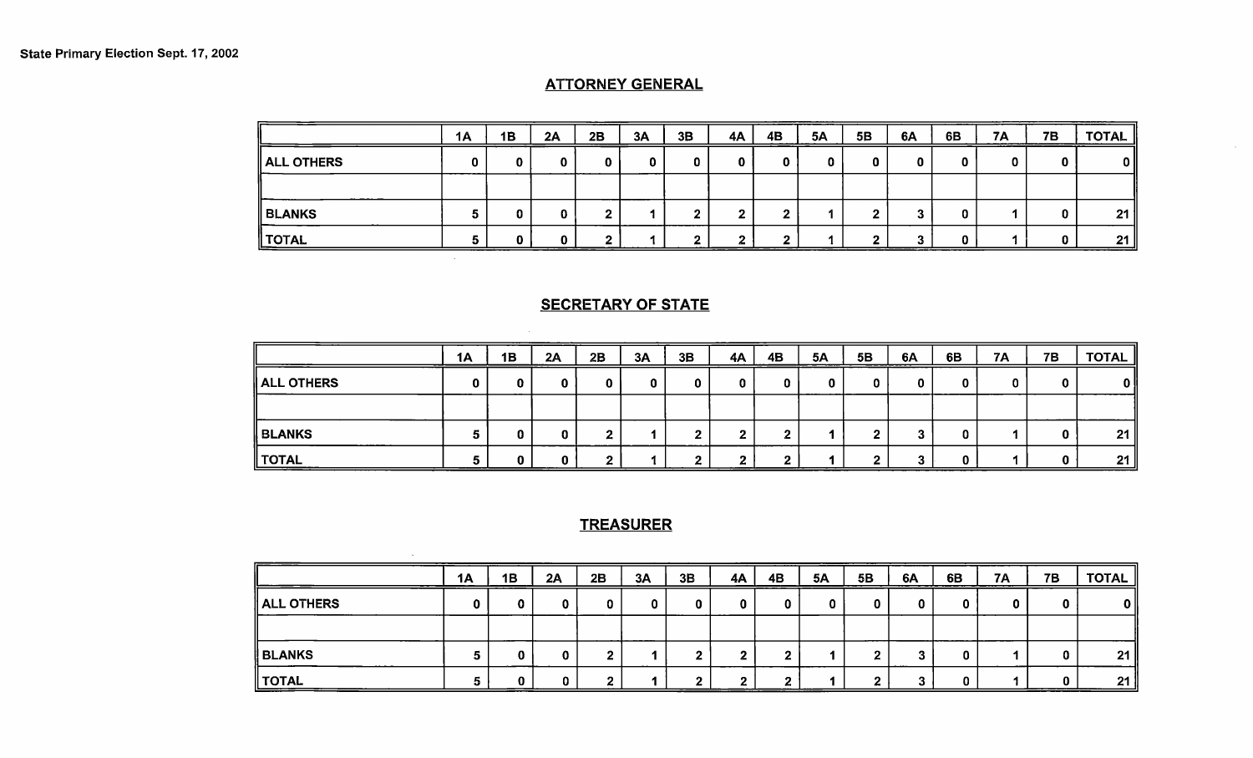#### ATTORNEY GENERAL

|                   | <b>1A</b> | 1B | 2A | 2B | 3A | 3B | 4A | 4B | <b>5A</b> | 5B | 6A      | 6B | <b>7A</b> | 7B | <b>TOTAL</b>    |
|-------------------|-----------|----|----|----|----|----|----|----|-----------|----|---------|----|-----------|----|-----------------|
| <b>ALL OTHERS</b> |           |    | 0  |    |    |    | 0  |    |           |    |         | 0  | 0         | 0  | $\mathbf{0}$    |
|                   |           |    |    |    |    |    |    |    |           |    |         |    |           |    |                 |
| <b>BLANKS</b>     | ə         |    | 0. |    |    |    |    |    |           |    |         | 0  |           | 0  | 21 <sup>1</sup> |
| <b>TOTAL</b>      | э         |    |    |    |    | -  |    |    |           |    | ∽<br>J. | 0  |           | n. | 21              |

 $\sim$ 

#### **SECRETARY OF STATE**

 $\sim 10^{-1}$ 

 $\sim$ 

 $\sim 10^{-11}$ 

|              | 1A | 1B | 2A | 2B | 3A | 3B | 4A | <b>4B</b> | 5A | 5B | 6A | 6B | <b>7A</b> | <b>7B</b> | <b>TOTAL</b> |
|--------------|----|----|----|----|----|----|----|-----------|----|----|----|----|-----------|-----------|--------------|
| ∥ ALL OTHERS |    |    | 0  | 0. |    |    |    |           |    |    | n  | 0. |           |           | 0 I          |
|              |    |    |    |    |    |    |    |           |    |    |    |    |           |           |              |
| BLANKS       |    |    | 0  | о. |    |    |    |           |    |    |    | 0  |           |           | 21           |
| ∥ TOTAL      |    |    | 0  | п. |    |    |    | п.        |    |    |    |    |           |           | 21           |

### **TREASURER**

|                        | 1Α | 1B<br>----- | 2A | 2B     | 3A | 3B | 4Α | ____<br>4B | 5Α | 5B | 6A | 6B | 7A | <b>7B</b> | <b>TOTAL</b>    |
|------------------------|----|-------------|----|--------|----|----|----|------------|----|----|----|----|----|-----------|-----------------|
| $\parallel$ ALL OTHERS |    | 0           | 0  | 0      | 0  |    |    |            |    |    | 0  | 0  |    |           | 0 II            |
|                        |    |             |    |        |    |    |    |            |    |    |    |    |    |           |                 |
| <b>BLANKS</b>          |    | 0           | 0  | 2      |    |    |    |            |    | ີ  |    | 0. |    |           | 21 <sub>1</sub> |
| $\parallel$ TOTAL      |    | 0           | 0  | ◠<br>∼ |    |    |    |            |    | ◠  | ∽  | 0  |    |           | 21              |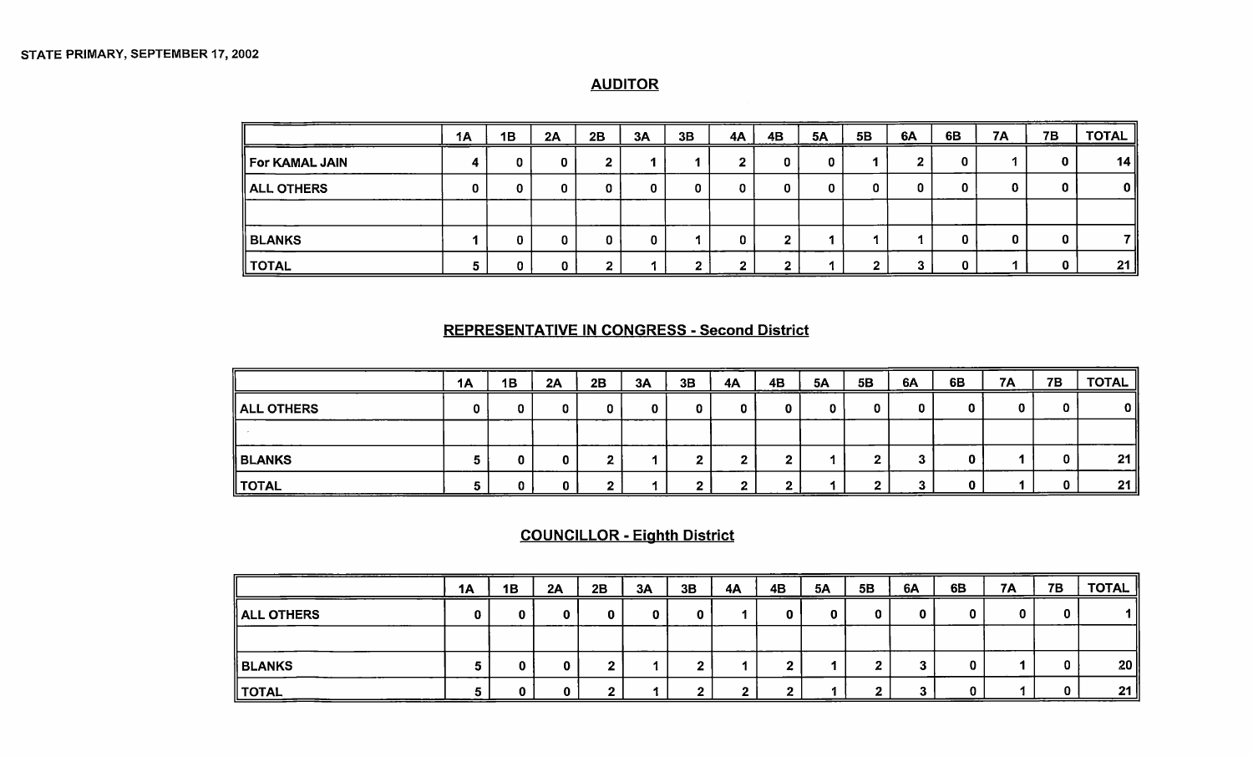#### **AUDITOR**

|                | <b>1A</b> | 1B | 2A | 2B | 3A | 3B | <b>4A</b> | 4B | 5A | 5 <b>B</b> | 6A | 6B | <b>7A</b> | _______<br><b>7B</b> | <b>TOTAL</b>   |
|----------------|-----------|----|----|----|----|----|-----------|----|----|------------|----|----|-----------|----------------------|----------------|
| For KAMAL JAIN |           | 0  |    |    |    |    |           |    |    |            |    | O  |           |                      | 14             |
| ALL OTHERS     |           | O  |    |    |    | 0  |           |    | Ω  |            |    |    | 0         |                      | 0 ll           |
|                |           |    |    |    |    |    |           |    |    |            |    |    |           |                      |                |
| <b>BLANKS</b>  |           |    |    |    |    |    |           |    |    |            |    |    | 0         | 0                    | 7 II           |
| <b>TOTAL</b>   |           | n  |    | Л. |    |    |           |    |    |            |    | O  |           | 0                    | $21 \parallel$ |

#### REPRESENTATIVE IN CONGRESS - Second District

|                        | 1A | 1B | 2A | 2B | 3A | 3B | 4A      | 4B | <b>5A</b> | 5B | 6A | 6B | <b>7A</b> | 7B | <b>TOTAL</b> |
|------------------------|----|----|----|----|----|----|---------|----|-----------|----|----|----|-----------|----|--------------|
| $\parallel$ ALL OTHERS | 0  |    |    | 0. |    |    | 0.      |    |           |    |    |    |           | 0  | 0 II         |
|                        |    |    |    |    |    |    |         |    |           |    |    |    |           |    |              |
| ∥ BLANKS               |    |    |    |    |    | л. | 2       |    |           | n  |    |    |           | 0  | 21           |
| <b>TOTAL</b>           |    |    |    |    |    |    | О.<br>L |    |           | -  |    |    |           | n  | 21           |

# COUNCILLOR - Eighth District

|               | 1A | 1B | 2A | 2B | 3A | 3B | <b>4A</b> | <b>4B</b> | <b>5A</b> | 5 <b>B</b> | 6A | 6B | <b>7A</b> | <b>7B</b> | <b>TOTAL</b>     |
|---------------|----|----|----|----|----|----|-----------|-----------|-----------|------------|----|----|-----------|-----------|------------------|
| ALL OTHERS    |    |    |    |    |    |    |           |           |           |            |    |    |           |           | I II             |
|               |    |    |    |    |    |    |           |           |           |            |    |    |           |           |                  |
| <b>BLANKS</b> |    |    |    |    |    |    |           |           |           |            |    |    |           |           | $20$ $\parallel$ |
| ∥ TOTAL       |    |    |    |    |    |    |           | ŋ<br>4    |           |            |    |    |           |           | 21               |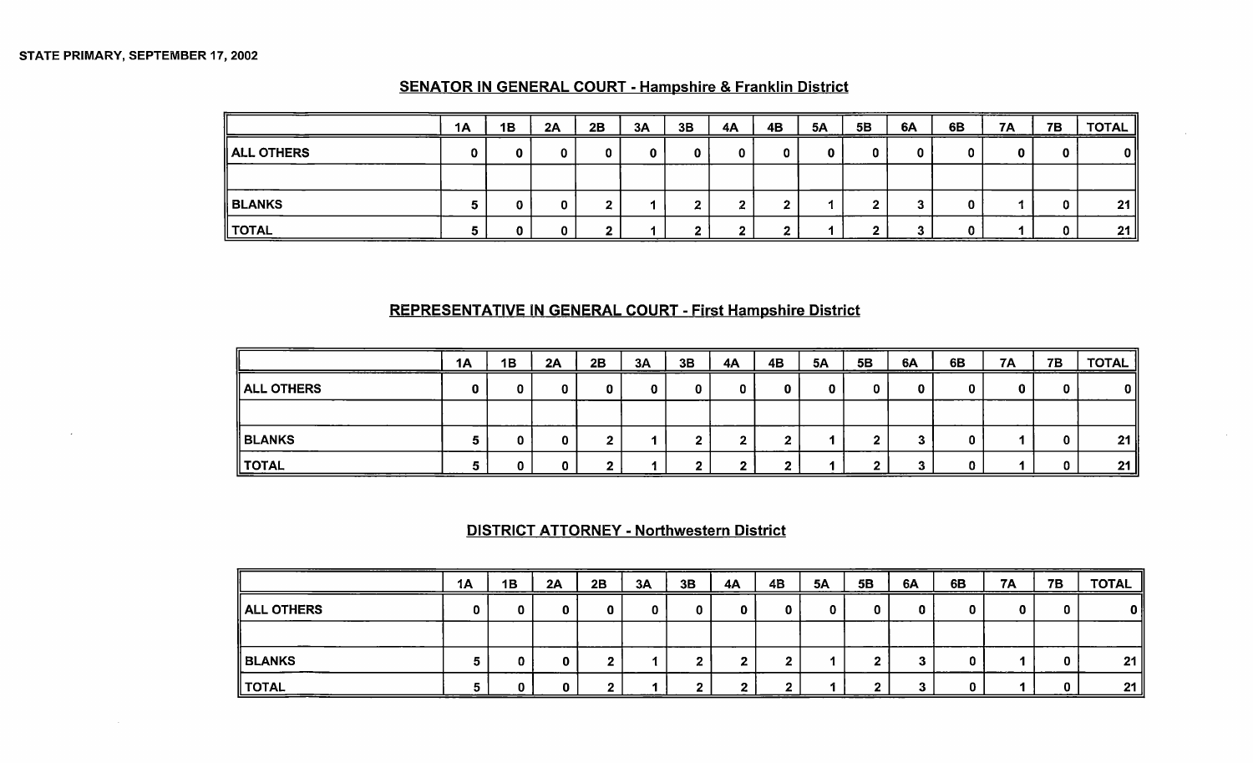|               | 1A | 1B | 2A | 2B | 3A | 3B | 4A | <b>4B</b> | <b>5A</b> | 5B | 6A | 6B | _____<br><b>7A</b> | <b>7B</b> | <b>TOTAL</b> |
|---------------|----|----|----|----|----|----|----|-----------|-----------|----|----|----|--------------------|-----------|--------------|
| ALL OTHERS    | 0  |    |    |    |    |    |    | 0         |           |    |    |    |                    |           | $\mathbf{0}$ |
|               |    |    |    |    |    |    |    |           |           |    |    |    |                    |           |              |
| <b>BLANKS</b> |    |    |    |    |    |    |    | n         |           |    |    | 0  |                    |           | 21           |
| ∥ TOTAL       |    |    |    |    |    |    |    | -<br>"    |           |    |    | 0  |                    |           | 21           |

# SENATOR IN GENERAL COURT - Hampshire & Franklin District

#### REPRESENTATIVE IN GENERAL COURT - First Hampshire District

|                        | ___<br>1A | 1B | 2A | 2B | 3A | 3B | 4A | 4B | <b>5A</b> | 5B | 6A | 6B | <b>7A</b> | <b>7B</b> | <b>TOTAL</b>    |
|------------------------|-----------|----|----|----|----|----|----|----|-----------|----|----|----|-----------|-----------|-----------------|
| $\parallel$ ALL OTHERS |           |    | 0  |    | 0  | 0  |    |    |           |    |    |    |           |           | 0 I             |
|                        |           |    |    |    |    |    |    |    |           |    |    |    |           |           |                 |
| <b>BLANKS</b>          |           |    | 0  |    |    | Ω. |    |    |           |    |    |    |           |           | 21 <sub>1</sub> |
| ∥ TOTAL                |           |    | 0  |    |    | п. | -  |    |           |    |    |    |           |           | 21              |

#### DISTRICT ATTORNEY - Northwestern District

|                    | <b>1A</b> | 1B | 2A | 2B | 3A | 3B        | 4A | 4B         | <b>5A</b> | 5B | 6A | 6B | <b>7A</b> | <b>7B</b> | <b>TOTAL</b>    |
|--------------------|-----------|----|----|----|----|-----------|----|------------|-----------|----|----|----|-----------|-----------|-----------------|
| ALL OTHERS         |           |    |    |    |    | 0         |    |            |           | 0  |    | 0  | υ         | 0         | 0 I             |
|                    |           |    |    |    |    |           |    |            |           |    |    |    |           |           |                 |
| $\parallel$ BLANKS |           |    |    |    |    | - 7<br>z. |    | - 1<br>æ., |           |    |    | 0  |           | 0         | 21 <sub>1</sub> |
| $\parallel$ TOTAL  |           |    |    |    |    | Ω.<br>-   |    |            |           |    |    | Ω  |           | 0         | 21              |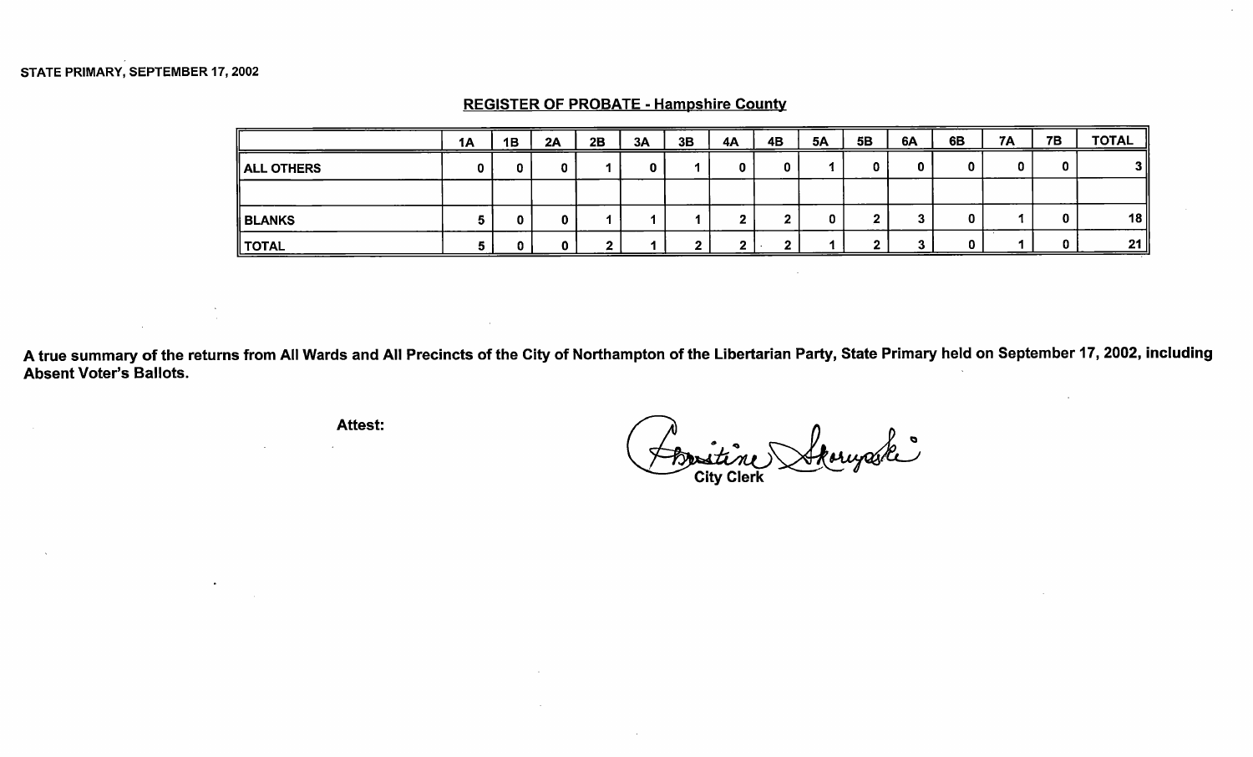|                   | <b>1A</b> | 1B | 2A | 2B | 3A | 3B | 4A | 4B | <b>5A</b> | 5 <b>B</b> | 6A | 6B | 7A | <b>7B</b>   | <b>TOTAL</b> |
|-------------------|-----------|----|----|----|----|----|----|----|-----------|------------|----|----|----|-------------|--------------|
| <b>ALL OTHERS</b> |           |    | 0  |    | 0  |    |    |    |           | 0          |    | ш  |    | 0           | 3 I          |
|                   |           |    |    |    |    |    |    |    |           |            |    |    |    |             |              |
| ∥ BLANKS          |           |    |    |    |    |    |    |    |           | ◠<br>£.    |    |    |    | $\mathbf 0$ | 18           |
| $\parallel$ TOTAL |           |    | n  |    |    |    |    | m  |           | . .        |    |    |    | O.          | 21           |

#### REGISTER OF PROBATE - Hampshire County

A true summary of the returns from All Wards and All Precincts of the City of Northampton of the Libertarian Party, State Primary held on September 17, 2002, including Absent Voter's Ballots.

Attest:

Britine Skoryaske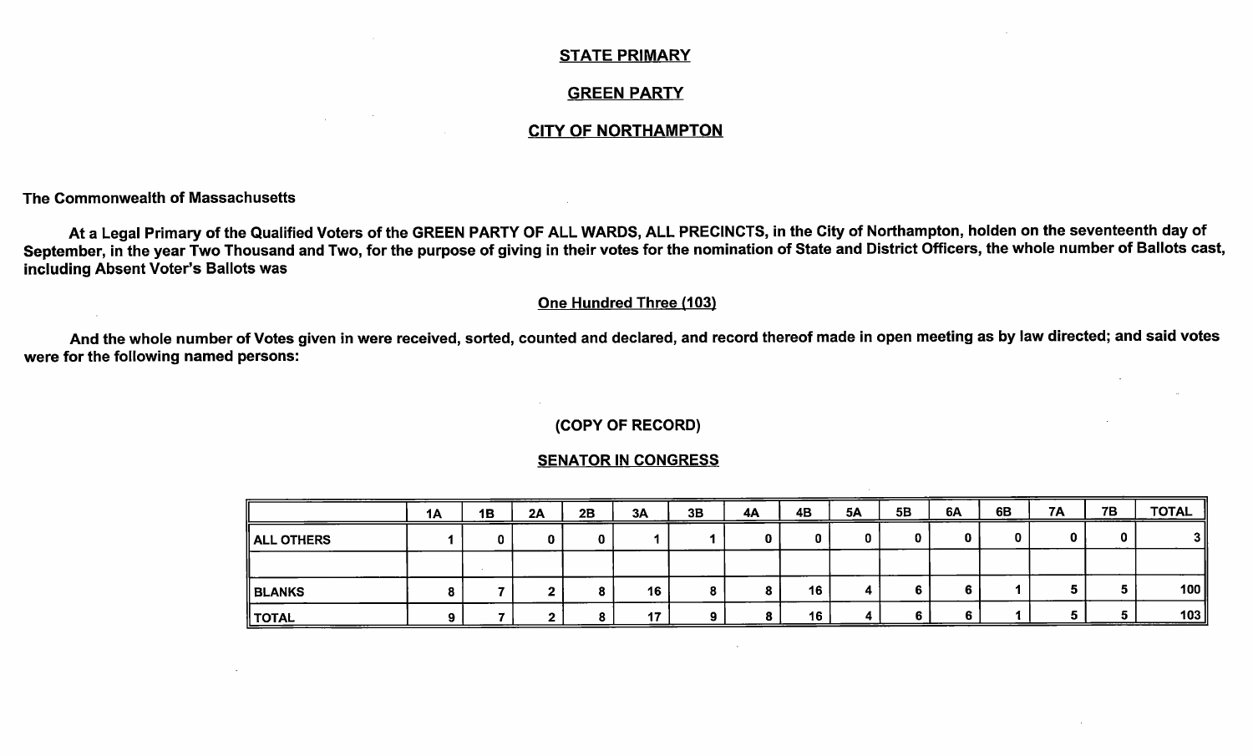#### STATE PRIMARY

#### GREEN PARTY

#### CITY OF NORTHAMPTON

The Commonwealth of Massachusetts

At a Legal Primary of the Qualified Voters of the GREEN PARTY OF ALL WARDS, ALL PRECINCTS, in the City of Northampton, holden on the seventeenth day of September, in the year Two Thousand and Two, for the purpose of giving in their votes for the nomination of State and District Officers, the whole number of Ballots cast, including Absent Voter's Ballots was

#### One Hundred Three (103)

And the whole number of Votes given in were received, sorted, counted and declared, and record thereof made in open meeting as by law directed; and said votes were for the following named persons:

#### COPY OF RECORD)

#### SENATOR IN CONGRESS

|                        | 1A | 1B | 2A | 2B | 3A | 3B | 4A | 4B | <b>5A</b> | 5B | 6A | 6B | <b>7A</b> | 7B | <b>TOTAL</b>   |
|------------------------|----|----|----|----|----|----|----|----|-----------|----|----|----|-----------|----|----------------|
| $\parallel$ ALL OTHERS |    |    |    |    |    |    |    |    |           |    |    |    |           | 0  | 3 <sup>1</sup> |
|                        |    |    |    |    |    |    |    |    |           |    |    |    |           |    |                |
| BLANKS                 |    |    |    |    | 16 |    |    | 16 |           |    |    |    |           |    | 100            |
| $^{\dagger}$ TOTAL     |    |    |    |    | 17 | o  |    | 16 |           |    | 6  |    |           |    | 103            |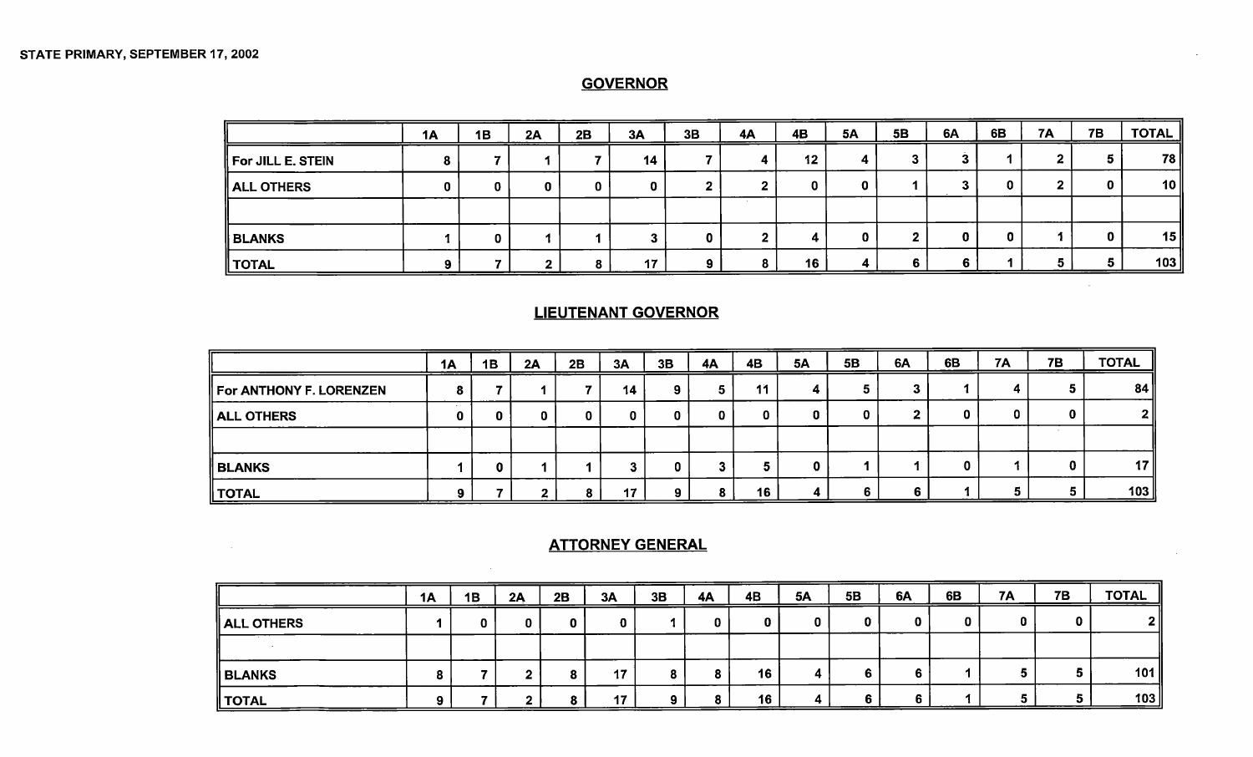$\sim$   $\mu$ 

### **GOVERNOR**

|                   | 1Α | 1B | 2A | 2B | 3A | 3B | 4A | 4B | <b>5A</b> | 5B | 6A | 6B | <b>7A</b> | <b>7B</b> | <b>TOTAL</b> |
|-------------------|----|----|----|----|----|----|----|----|-----------|----|----|----|-----------|-----------|--------------|
| For JILL E. STEIN |    |    |    |    | 14 |    |    | 12 |           |    |    |    |           |           | 78           |
| ALL OTHERS        |    |    |    |    |    |    |    |    |           |    |    | n. |           |           | 10           |
|                   |    |    |    |    |    |    |    |    |           |    |    |    |           |           |              |
| ∥ BLANKS          |    |    |    |    |    | o  |    | д. | O         |    |    |    |           | o         | 15           |
| TOTAL             |    |    |    |    | 17 | a  |    | 16 | д.        |    | 6  |    |           |           | 103          |

# LIEUTENANT GOVERNOR

|                         | 1A | 1B | 2A | 2B | 3A | 3B | 4A | 4B | 5Α | 5B | 6A | 6B | 7A  | <b>7B</b> | <b>TOTAL</b>     |
|-------------------------|----|----|----|----|----|----|----|----|----|----|----|----|-----|-----------|------------------|
| For ANTHONY F. LORENZEN |    |    |    |    | 14 |    |    | 11 |    |    |    |    | . . |           | 84               |
| ALL OTHERS              | 0  |    |    |    |    |    |    |    |    |    |    | 0  | 0   | U         | 2 I              |
|                         |    |    |    |    |    |    |    |    |    |    |    |    |     |           |                  |
| BLANKS                  |    |    |    |    |    |    |    |    |    |    |    |    |     |           | 17 <sup>  </sup> |
| TOTAL                   |    |    | 4  |    | 17 |    | 8  | 16 |    |    |    |    | 5   |           | 103              |

# ATTORNEY GENERAL

 $\sim$ 

|            | 1A | 1B | 2A | 2B | 3A | 3B | <b>4A</b> | 4B | <b>5A</b> | 5 <b>B</b> | 6A | 6B | 7A | 7B | <b>TOTAL</b>      |
|------------|----|----|----|----|----|----|-----------|----|-----------|------------|----|----|----|----|-------------------|
| ALL OTHERS |    |    | 0  | 0  |    |    |           |    |           |            |    |    | 0  |    | 2 <sub>II</sub>   |
|            |    |    |    |    |    |    |           |    |           |            |    |    |    |    |                   |
| ∥ BLANKS   |    |    | m  | 8. | 17 |    |           | 16 | "         |            |    |    |    |    | 101 <sub>  </sub> |
| TOTAL      | Ω  |    | Ð  | 8  | 17 |    |           | 16 | 41        |            |    |    |    |    | 103               |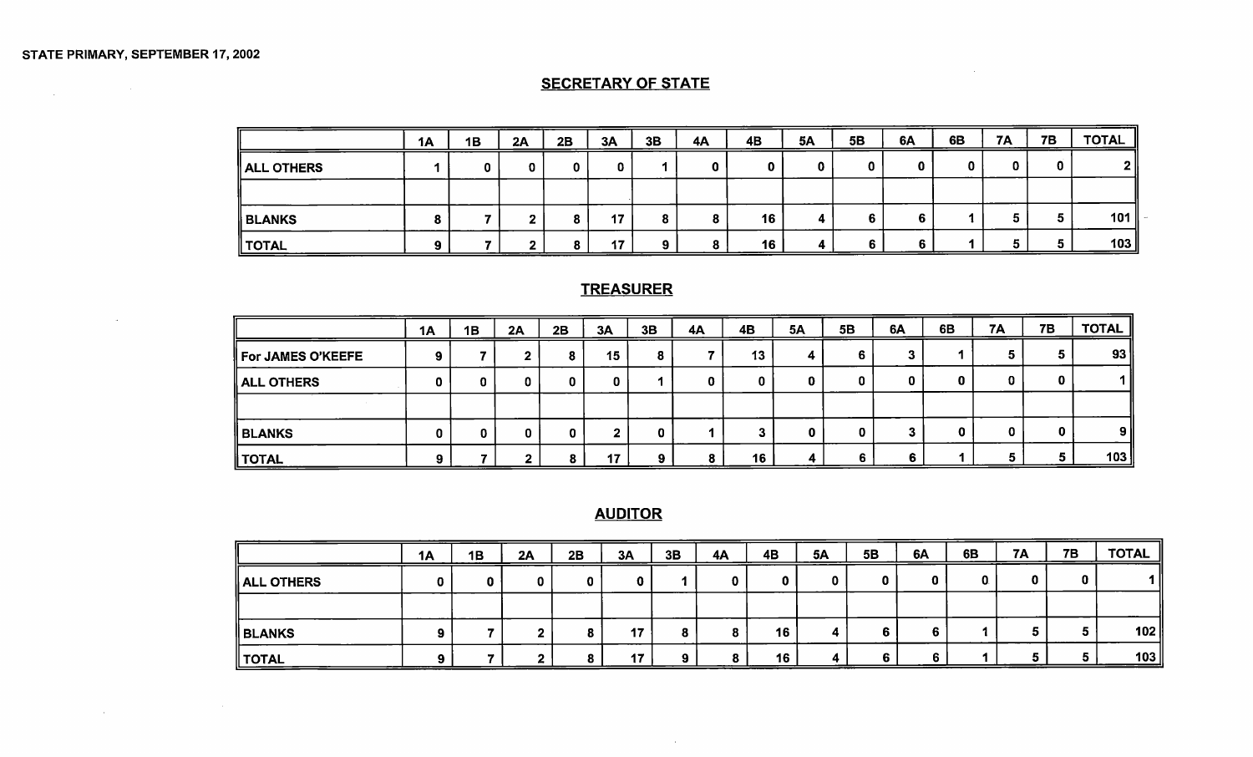$\sim 10^{11}$ 

 $\sim 10^7$ 

 $\label{eq:2.1} \frac{1}{\sqrt{2\pi}}\int_{\mathbb{R}^3}\frac{1}{\sqrt{2\pi}}\int_{\mathbb{R}^3}\frac{1}{\sqrt{2\pi}}\int_{\mathbb{R}^3}\frac{1}{\sqrt{2\pi}}\int_{\mathbb{R}^3}\frac{1}{\sqrt{2\pi}}\int_{\mathbb{R}^3}\frac{1}{\sqrt{2\pi}}\int_{\mathbb{R}^3}\frac{1}{\sqrt{2\pi}}\int_{\mathbb{R}^3}\frac{1}{\sqrt{2\pi}}\int_{\mathbb{R}^3}\frac{1}{\sqrt{2\pi}}\int_{\mathbb{R}^3}\frac{1$ 

#### **SECRETARY OF STATE**

|               | 1A | 1B | 2A | 2B | 3A | 3B | <b>4A</b> | 4B | <b>5A</b> | 5B | 6A | 6B | <b>7A</b> | <b>7B</b> | <b>TOTAL</b>   |
|---------------|----|----|----|----|----|----|-----------|----|-----------|----|----|----|-----------|-----------|----------------|
| ALL OTHERS    |    |    |    |    | 0  |    |           | 0  |           |    |    |    |           | 0         | 2 <sub>1</sub> |
|               |    |    |    |    |    |    |           |    |           |    |    |    |           |           |                |
| <b>BLANKS</b> |    |    |    |    | 17 |    |           | 16 |           |    |    |    |           |           | 101            |
| <b>TOTAL</b>  |    |    |    |    | 47 | Ω  |           | 16 |           |    |    |    |           | 5         | 103            |

 $\sim 800$ 

### TREASURER

|                   | 1A | 1B | 2A | 2B | 3A | 3B | 4A | 4B | <b>5A</b> | 5B | 6A     | 6B | <b>7A</b> | 7B | <b>TOTAL</b> |
|-------------------|----|----|----|----|----|----|----|----|-----------|----|--------|----|-----------|----|--------------|
| For JAMES O'KEEFE |    |    |    |    | 15 |    |    | 13 |           |    | -<br>J |    | ю         |    | 93           |
| <b>ALL OTHERS</b> |    |    | 0  |    |    |    |    |    |           |    | 0      |    | O         |    |              |
|                   |    |    |    |    |    |    |    |    |           |    |        |    |           |    |              |
| BLANKS            |    |    | 0  |    |    |    |    |    | o         |    |        |    |           |    | 9 I          |
| <b>TOTAL</b>      |    |    |    | О  | 47 |    |    | 16 | 4         | 6  | Б      |    |           |    | 103          |

# AUDITOR

|                   | <b>1A</b> | 1B | 2A | 2B | 3A | 3B | 4A | 4B | <b>5A</b> | 5B | 6A | 6B | <b>7A</b> | <b>7B</b> | <b>TOTAL</b> |
|-------------------|-----------|----|----|----|----|----|----|----|-----------|----|----|----|-----------|-----------|--------------|
| <b>ALL OTHERS</b> |           |    |    |    |    |    | 0  | 0  | 0         | 0  | 0  | 0. | 0         | 0         |              |
|                   |           |    |    |    |    |    |    |    |           |    |    |    |           |           |              |
| BLANKS            |           |    |    |    | 17 | 8  | 8  | 16 | 4         | 6  |    |    |           |           | 102          |
| ∥ TOTAL           |           |    |    |    | 17 | 9. | 8  | 16 | 4         | 6  |    |    |           |           | 103          |

 $\sim 10^{-11}$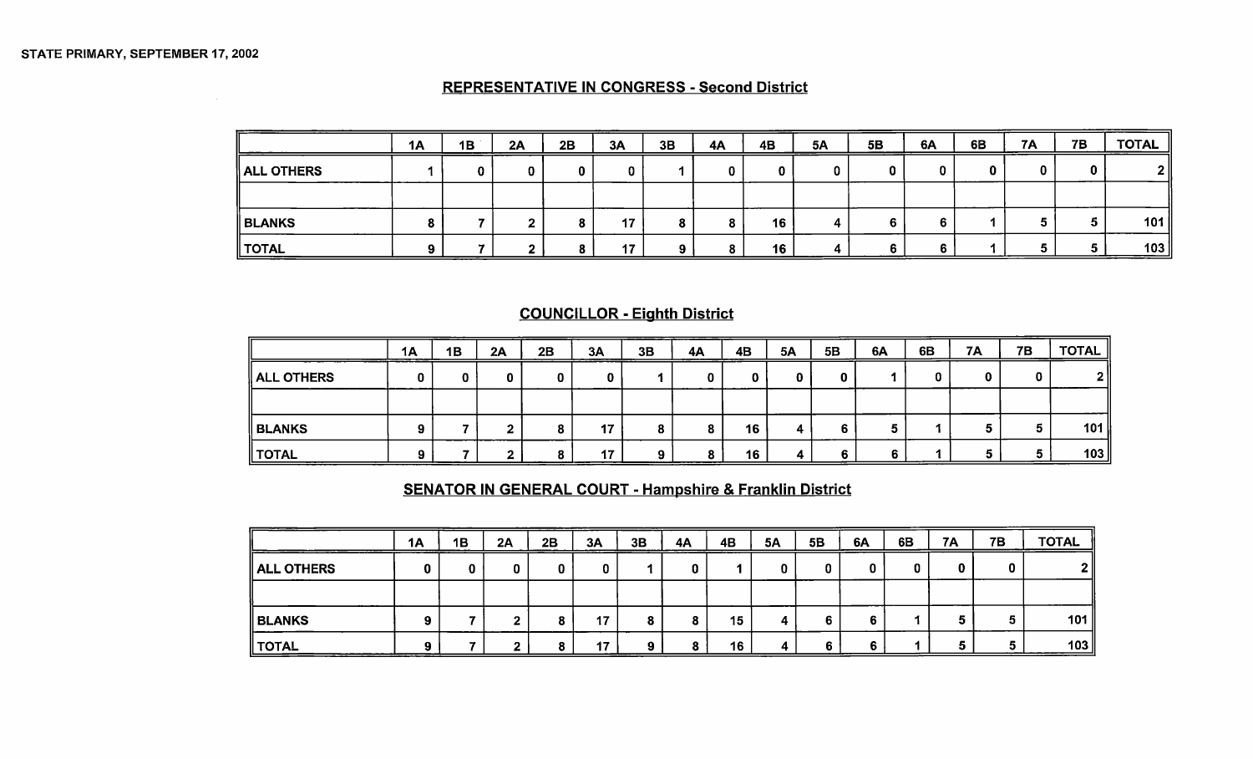#### REPRESENTATIVE IN CONGRESS - Second District

|                   | <b>1A</b> | 1B | 2A | 2B | 3A | 3B | 4A | 4B | 5Α | 5B | <b>6A</b> | 6B | <b>7A</b> | 7B | <b>TOTAL</b> |
|-------------------|-----------|----|----|----|----|----|----|----|----|----|-----------|----|-----------|----|--------------|
| <b>ALL OTHERS</b> |           |    |    |    |    |    |    |    |    | 0  |           |    |           |    |              |
|                   |           |    |    |    |    |    |    |    |    |    |           |    |           |    |              |
| ∥ BLANKS          |           |    |    |    | 17 |    |    | 16 | Д. | 6  |           |    |           | 5  | 101          |
| <b>TOTAL</b>      |           |    |    |    | 17 | Ω  |    | 16 | 4  |    |           |    |           |    | 103          |

#### COUNCILLOR - Eighth District

|                   | <b>1A</b> | 1B | 2A | 2B | 3A | 3B | 4A     | 4B | <b>5A</b> | 5B | <b>6A</b> | 6B | <b>7A</b> | <b>7B</b> | <b>TOTAL</b> |
|-------------------|-----------|----|----|----|----|----|--------|----|-----------|----|-----------|----|-----------|-----------|--------------|
| ALL OTHERS        |           |    |    | 0  |    |    | 0      |    |           | 0  |           |    | 0         |           | 21           |
|                   |           |    |    |    |    |    |        |    |           |    |           |    |           |           |              |
| <b>BLANKS</b>     |           |    |    |    | 17 |    | 8      | 16 |           | 6  |           |    | 5         | G         | 101          |
| $\parallel$ TOTAL | Ω         |    |    |    | 17 | Ω  | o<br>Ω | 16 | 4         | 6  | o         |    |           | э         | 103          |

# SENATOR IN GENERAL COURT - Hampshire & Franklin District

|                        | 1A | 1B | 2A | $ -$<br>2B | 3A | 3B | 4A | 4B | <b>5A</b> | 5B | 6A | 6B | <b>7A</b> | <b>7B</b> | <b>TOTAL</b>   |
|------------------------|----|----|----|------------|----|----|----|----|-----------|----|----|----|-----------|-----------|----------------|
| $\parallel$ ALL OTHERS |    |    |    |            |    |    |    |    |           |    |    |    |           |           | 2 <sub>1</sub> |
|                        |    |    |    |            |    |    |    |    |           |    |    |    |           |           |                |
| <b>BLANKS</b>          |    |    |    |            | 17 |    | 8  | 15 | Д.        |    |    |    |           | Е.        | 101            |
| TOTAL                  |    |    | -  |            | 17 | Ω  |    | 16 | л         | R  |    |    |           |           | 103            |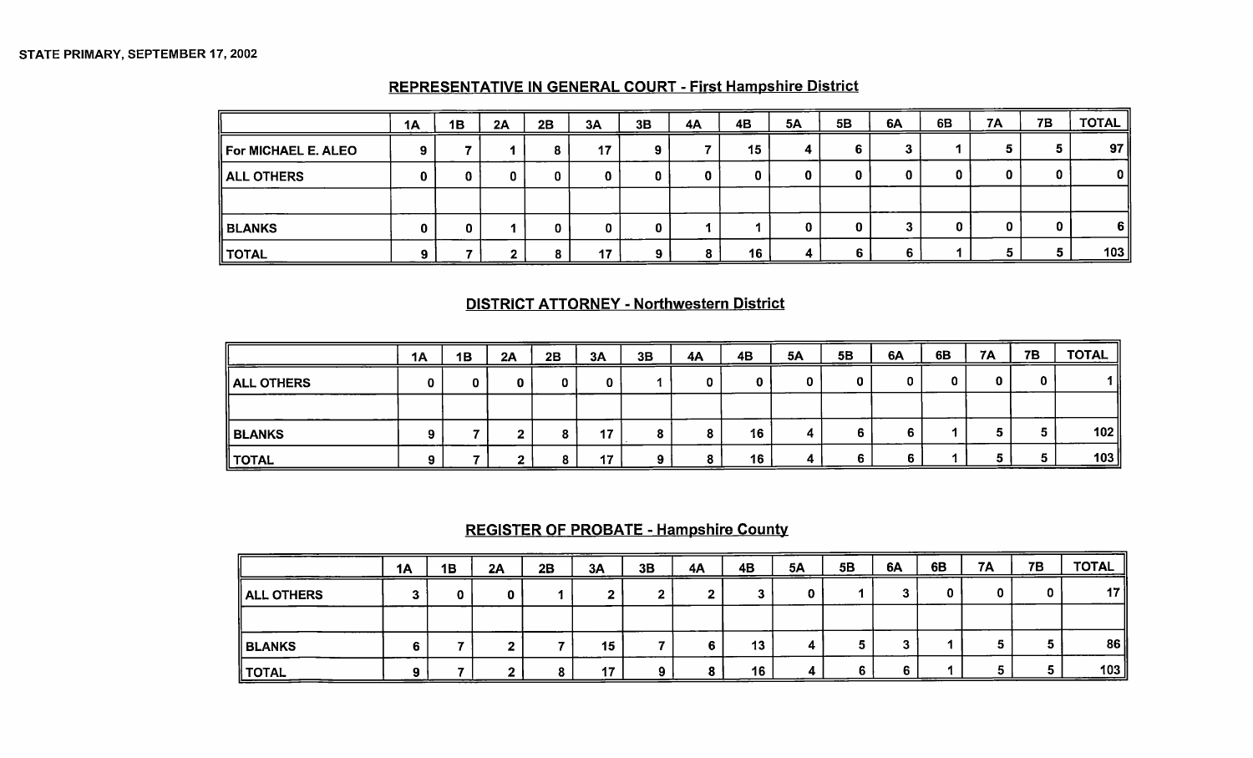|                        | 1A | 1B | 2A | 2B | 3A | 3B | 4A | 4B | 5A | 5B | 6A | 6B | <b>7A</b> | 7B | <b>TOTAL</b>    |
|------------------------|----|----|----|----|----|----|----|----|----|----|----|----|-----------|----|-----------------|
| For MICHAEL E. ALEO    |    |    |    |    | 17 |    |    | 15 | 4  |    |    |    |           | a  | 97 <sub>l</sub> |
| $\parallel$ ALL OTHERS |    |    |    |    |    | u  | U  | 0  | 0  |    | 0  |    |           | 0  | $\mathbf{0}$    |
|                        |    |    |    |    |    |    |    |    |    |    |    |    |           |    |                 |
| <b>BLANKS</b>          |    | 0  |    |    | 0  |    |    |    |    |    |    |    |           |    | - 6 I           |
| TOTAL                  |    |    |    |    | 17 |    |    | 16 | 4  | 6  | 6  |    |           |    | 103             |

#### REPRESENTATIVE IN GENERAL COURT - First Hampshire District

#### DISTRICT ATTORNEY - Northwestern District

|                        | 1A | 1B | 2A | 2B     | 3A | 3B | 4A | 4B | <b>5A</b> | 5B | 6A | 6B | <b>7A</b> | 7B | <b>TOTAL</b> |
|------------------------|----|----|----|--------|----|----|----|----|-----------|----|----|----|-----------|----|--------------|
| $\parallel$ ALL OTHERS |    |    | u  | o      |    |    |    |    | 0         |    |    |    | 0         | 0  |              |
|                        |    |    |    |        |    |    |    |    |           |    |    |    |           |    |              |
| <b>BLANKS</b>          |    |    |    |        | 47 | 8  |    | 16 | 4         |    |    |    |           | 5  | 102          |
| TOTAL                  |    |    |    | n<br>ο | 17 | 9  |    | 16 | А         |    |    |    |           | 5  | 103          |

# REGISTER OF PROBATE - Hampshire County

|                   | 1A | 1B | 2A | 2B | 3A | 3B       | 4A | 4B | <b>5A</b> | 5B | 6A | 6B | <b>7A</b> | 7B | <b>TOTAL</b> |
|-------------------|----|----|----|----|----|----------|----|----|-----------|----|----|----|-----------|----|--------------|
| <b>ALL OTHERS</b> |    |    |    |    |    |          |    |    | 0         |    |    |    |           | 0  | 17           |
|                   |    |    |    |    |    |          |    |    |           |    |    |    |           |    |              |
| <b>BLANKS</b>     |    |    |    |    | 15 |          |    | 13 | 4         | 5  |    |    |           |    | 86           |
| ∥ TOTAL           |    |    |    |    | 17 | $\Omega$ |    | 16 | 4         |    | 6  |    |           |    | 103          |